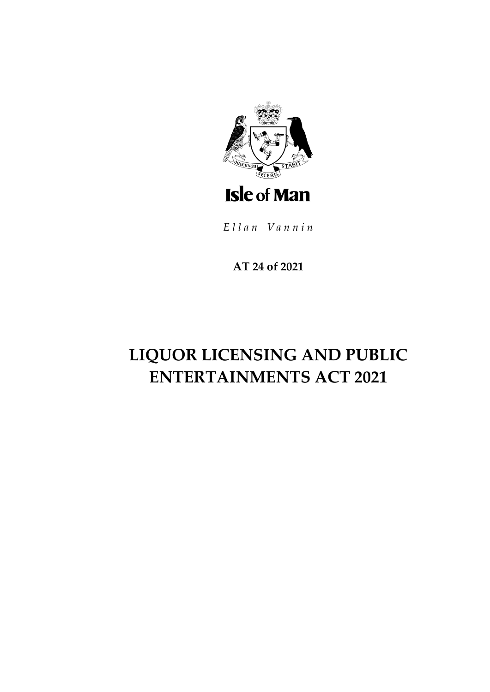

Ellan Vannin

**AT 24 of 2021**

# **LIQUOR LICENSING AND PUBLIC ENTERTAINMENTS ACT 2021**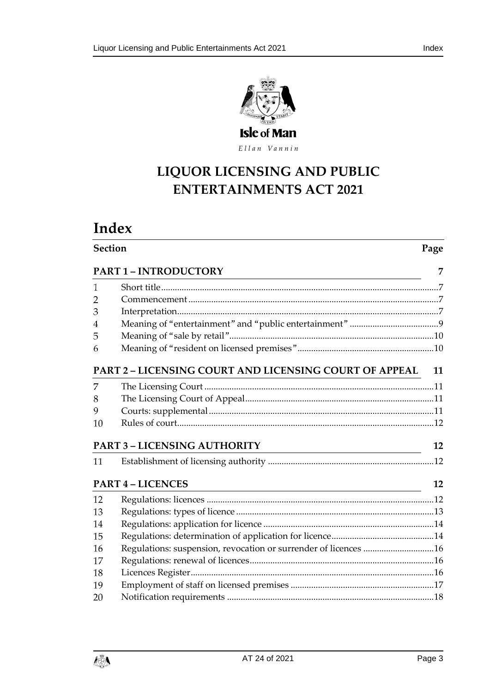

Ellan Vannin

## **LIQUOR LICENSING AND PUBLIC ENTERTAINMENTS ACT 2021**

# **Index**

| <b>Section</b> |                                                                                      | Page |  |
|----------------|--------------------------------------------------------------------------------------|------|--|
|                | <b>PART 1-INTRODUCTORY</b>                                                           | 7    |  |
| 1              |                                                                                      |      |  |
| 2              |                                                                                      |      |  |
| 3              |                                                                                      |      |  |
| 4              |                                                                                      |      |  |
| 5              |                                                                                      |      |  |
| 6              |                                                                                      |      |  |
|                | <b>PART 2 - LICENSING COURT AND LICENSING COURT OF APPEAL</b>                        | 11   |  |
| 7              |                                                                                      |      |  |
| 8              |                                                                                      |      |  |
| 9              |                                                                                      |      |  |
| 10             |                                                                                      |      |  |
|                | <b>PART 3 - LICENSING AUTHORITY</b><br><u> 1980 - Jan Samuel Barbara, poeta esta</u> | 12   |  |
| 11             |                                                                                      |      |  |
|                | <b>PART 4 - LICENCES</b>                                                             | 12   |  |
| 12             |                                                                                      |      |  |
| 13             |                                                                                      |      |  |
| 14             |                                                                                      |      |  |
| 15             |                                                                                      |      |  |
| 16             | Regulations: suspension, revocation or surrender of licences 16                      |      |  |
| 17             |                                                                                      |      |  |
| 18             |                                                                                      |      |  |
| 19             |                                                                                      |      |  |
| 20             |                                                                                      |      |  |

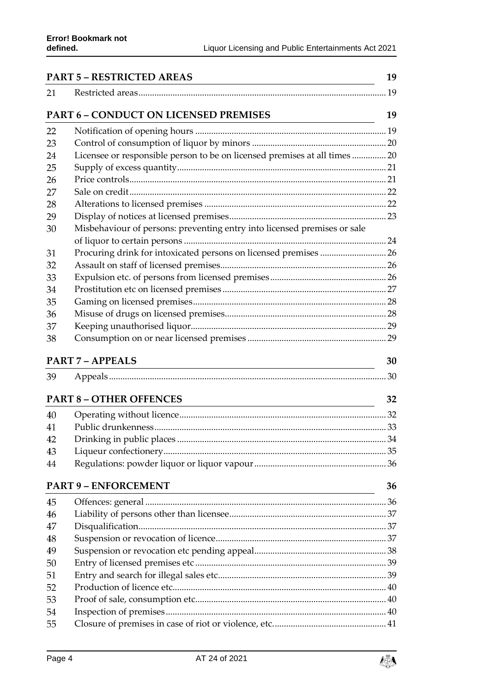| <b>PART 5 - RESTRICTED AREAS</b> |                                                                                                                                                      | 19 |
|----------------------------------|------------------------------------------------------------------------------------------------------------------------------------------------------|----|
| 21                               |                                                                                                                                                      |    |
|                                  | <b>PART 6 - CONDUCT ON LICENSED PREMISES</b>                                                                                                         | 19 |
| 22                               |                                                                                                                                                      |    |
| 23                               |                                                                                                                                                      |    |
| 24                               | Licensee or responsible person to be on licensed premises at all times  20                                                                           |    |
| 25                               |                                                                                                                                                      |    |
| 26                               |                                                                                                                                                      |    |
| 27                               |                                                                                                                                                      |    |
| 28                               |                                                                                                                                                      |    |
| 29                               |                                                                                                                                                      |    |
| 30                               | Misbehaviour of persons: preventing entry into licensed premises or sale                                                                             |    |
|                                  |                                                                                                                                                      |    |
| 31                               |                                                                                                                                                      |    |
| 32                               |                                                                                                                                                      |    |
| 33                               |                                                                                                                                                      |    |
| 34                               |                                                                                                                                                      |    |
| 35                               |                                                                                                                                                      |    |
| 36                               |                                                                                                                                                      |    |
| 37                               |                                                                                                                                                      |    |
| 38                               |                                                                                                                                                      |    |
|                                  | <b>PART 7 - APPEALS</b>                                                                                                                              | 30 |
| 39                               |                                                                                                                                                      |    |
|                                  | <b>PART 8 - OTHER OFFENCES</b>                                                                                                                       | 32 |
| 40                               |                                                                                                                                                      |    |
| 41                               |                                                                                                                                                      |    |
| 42                               |                                                                                                                                                      |    |
| 43                               |                                                                                                                                                      |    |
| 44                               |                                                                                                                                                      |    |
|                                  | <b>PART 9 - ENFORCEMENT</b><br><u> 1989 - Johann Barn, mars ann an t-Amhain an t-Amhain an t-Amhain an t-Amhain an t-Amhain an t-Amhain an t-Amh</u> | 36 |
| 45                               |                                                                                                                                                      |    |
| 46                               |                                                                                                                                                      |    |
| 47                               |                                                                                                                                                      |    |
| 48                               |                                                                                                                                                      |    |
| 49                               |                                                                                                                                                      |    |
| 50                               |                                                                                                                                                      |    |
| 51                               |                                                                                                                                                      |    |
| 52                               |                                                                                                                                                      |    |
| 53                               |                                                                                                                                                      |    |
| 54                               |                                                                                                                                                      |    |
| 55                               |                                                                                                                                                      |    |

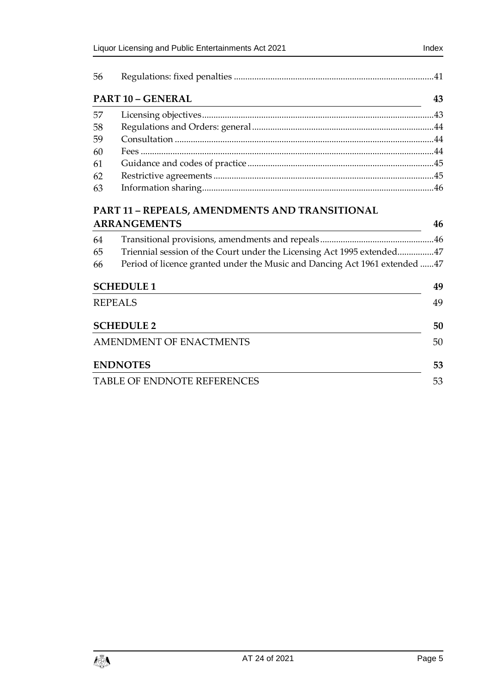| 56 |                          |    |
|----|--------------------------|----|
|    | <b>PART 10 - GENERAL</b> | 43 |
| 57 |                          |    |
| 58 |                          |    |
| 59 |                          |    |
| 60 |                          |    |
| 61 |                          |    |
| 62 |                          |    |
| 63 |                          |    |
|    |                          |    |

## **PART 11 – [REPEALS, AMENDMENTS AND TRANSITIONAL](#page-45-1)  [ARRANGEMENTS](#page-45-1) 46**

| 64 |                                                                             |    |
|----|-----------------------------------------------------------------------------|----|
| 65 | Triennial session of the Court under the Licensing Act 1995 extended47      |    |
| 66 | Period of licence granted under the Music and Dancing Act 1961 extended  47 |    |
|    | <b>SCHEDULE 1</b>                                                           | 49 |
|    | <b>REPEALS</b>                                                              | 49 |
|    | <b>SCHEDULE 2</b>                                                           | 50 |
|    | AMENDMENT OF ENACTMENTS                                                     | 50 |
|    | <b>ENDNOTES</b>                                                             | 53 |
|    | TABLE OF ENDNOTE REFERENCES                                                 |    |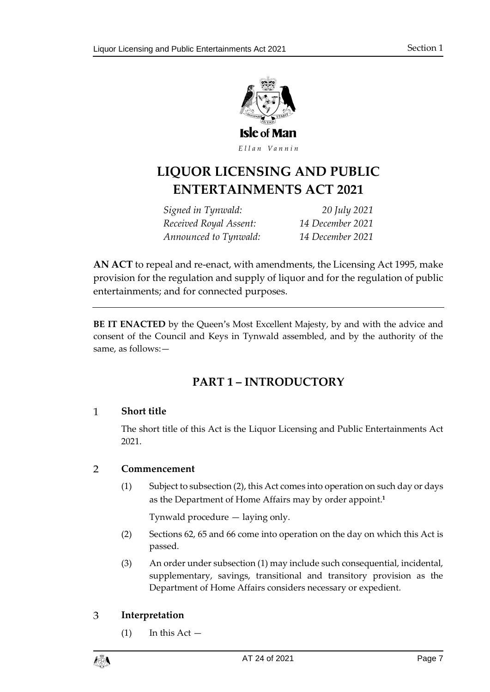

Ellan Vannin

## **LIQUOR LICENSING AND PUBLIC ENTERTAINMENTS ACT 2021**

*Signed in Tynwald: 20 July 2021 Received Royal Assent: 14 December 2021 Announced to Tynwald: 14 December 2021*

**AN ACT** to repeal and re-enact, with amendments, the Licensing Act 1995, make provision for the regulation and supply of liquor and for the regulation of public entertainments; and for connected purposes.

<span id="page-6-0"></span>**BE IT ENACTED** by the Queen's Most Excellent Majesty, by and with the advice and consent of the Council and Keys in Tynwald assembled, and by the authority of the same, as follows:—

## **PART 1 – INTRODUCTORY**

#### <span id="page-6-1"></span> $\mathbf{1}$ **Short title**

The short title of this Act is the Liquor Licensing and Public Entertainments Act 2021.

#### <span id="page-6-2"></span> $\overline{2}$ **Commencement**

(1) Subject to subsection (2), this Act comes into operation on such day or days as the Department of Home Affairs may by order appoint.**<sup>1</sup>**

Tynwald procedure — laying only.

- (2) Sections [62,](#page-44-1) [65](#page-46-0) and [66](#page-46-1) come into operation on the day on which this Act is passed.
- (3) An order under subsection (1) may include such consequential, incidental, supplementary, savings, transitional and transitory provision as the Department of Home Affairs considers necessary or expedient.

#### <span id="page-6-3"></span>3 **Interpretation**

 $(1)$  In this Act  $-$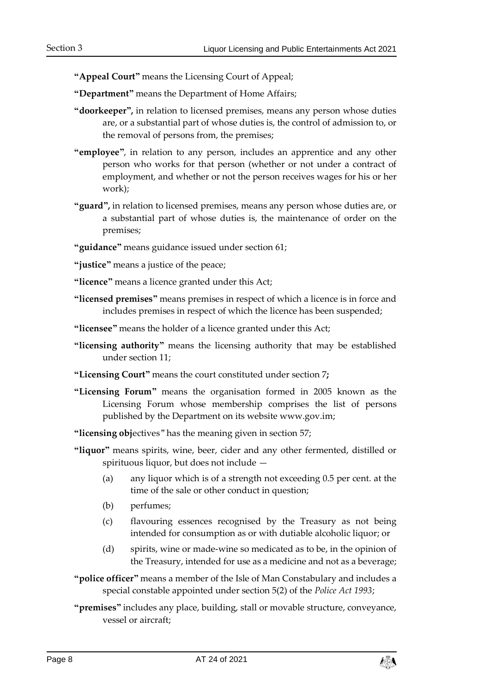**"Appeal Court"** means the Licensing Court of Appeal;

**"Department"** means the Department of Home Affairs;

- **"doorkeeper",** in relation to licensed premises, means any person whose duties are, or a substantial part of whose duties is, the control of admission to, or the removal of persons from, the premises;
- **"employee"**, in relation to any person, includes an apprentice and any other person who works for that person (whether or not under a contract of employment, and whether or not the person receives wages for his or her work);
- **"guard",** in relation to licensed premises, means any person whose duties are, or a substantial part of whose duties is, the maintenance of order on the premises;
- **"guidance"** means guidance issued under section [61;](#page-44-0)

**"justice"** means a justice of the peace;

- **"licence"** means a licence granted under this Act;
- **"licensed premises"** means premises in respect of which a licence is in force and includes premises in respect of which the licence has been suspended;
- **"licensee"** means the holder of a licence granted under this Act;
- **"licensing authority"** means the licensing authority that may be established under section [11;](#page-11-2)
- **"Licensing Court"** means the court constituted under section 7**;**
- **"Licensing Forum"** means the organisation formed in 2005 known as the Licensing Forum whose membership comprises the list of persons published by the Department on its website www.gov.im;
- **"licensing obj**ectives" has the meaning given in section [57;](#page-42-1)
- **"liquor"** means spirits, wine, beer, cider and any other fermented, distilled or spirituous liquor, but does not include —
	- (a) any liquor which is of a strength not exceeding 0.5 per cent. at the time of the sale or other conduct in question;
	- (b) perfumes;
	- (c) flavouring essences recognised by the Treasury as not being intended for consumption as or with dutiable alcoholic liquor; or
	- (d) spirits, wine or made-wine so medicated as to be, in the opinion of the Treasury, intended for use as a medicine and not as a beverage;
- **"police officer"** means a member of the Isle of Man Constabulary and includes a special constable appointed under section 5(2) of the *Police Act 1993*;
- **"premises"** includes any place, building, stall or movable structure, conveyance, vessel or aircraft;

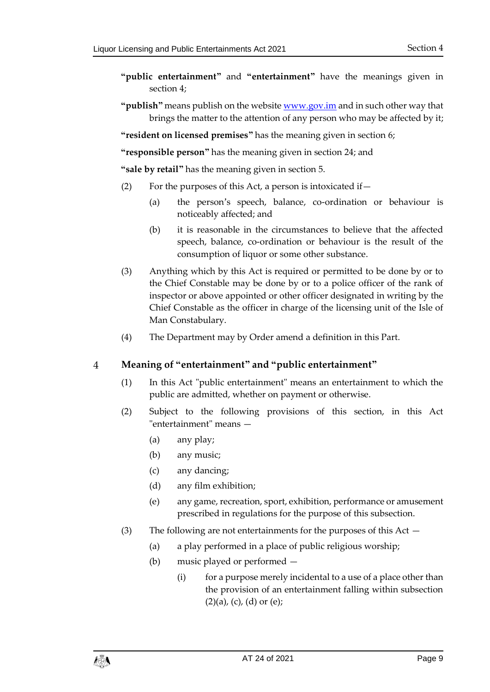- **"public entertainment"** and **"entertainment"** have the meanings given in section [4;](#page-8-0)
- **"publish"** means publish on the websit[e www.gov.im](http://www.gov.im/) and in such other way that brings the matter to the attention of any person who may be affected by it;

**"resident on licensed premises"** has the meaning given in section [6;](#page-9-1)

**"responsible person"** has the meaning given in section [24;](#page-19-1) and

**"sale by retail"** has the meaning given in section [5.](#page-9-0)

- (2) For the purposes of this Act, a person is intoxicated if  $-$ 
	- (a) the person's speech, balance, co-ordination or behaviour is noticeably affected; and
	- (b) it is reasonable in the circumstances to believe that the affected speech, balance, co-ordination or behaviour is the result of the consumption of liquor or some other substance.
- (3) Anything which by this Act is required or permitted to be done by or to the Chief Constable may be done by or to a police officer of the rank of inspector or above appointed or other officer designated in writing by the Chief Constable as the officer in charge of the licensing unit of the Isle of Man Constabulary.
- (4) The Department may by Order amend a definition in this Part.

#### <span id="page-8-0"></span> $\overline{4}$ **Meaning of "entertainment" and "public entertainment"**

- (1) In this Act "public entertainment" means an entertainment to which the public are admitted, whether on payment or otherwise.
- (2) Subject to the following provisions of this section, in this Act "entertainment" means —
	- (a) any play;
	- (b) any music;
	- (c) any dancing;
	- (d) any film exhibition;
	- (e) any game, recreation, sport, exhibition, performance or amusement prescribed in regulations for the purpose of this subsection.
- (3) The following are not entertainments for the purposes of this Act
	- (a) a play performed in a place of public religious worship;
	- (b) music played or performed
		- (i) for a purpose merely incidental to a use of a place other than the provision of an entertainment falling within subsection  $(2)(a)$ ,  $(c)$ ,  $(d)$  or  $(e)$ ;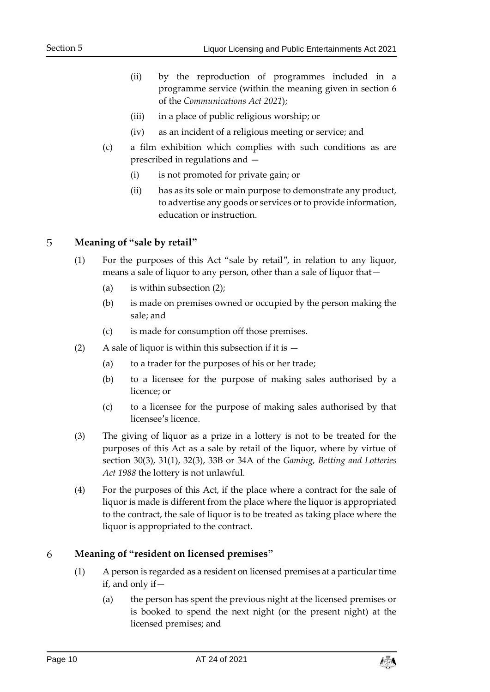- (ii) by the reproduction of programmes included in a programme service (within the meaning given in section 6 of the *Communications Act 2021*);
- (iii) in a place of public religious worship; or
- (iv) as an incident of a religious meeting or service; and
- (c) a film exhibition which complies with such conditions as are prescribed in regulations and —
	- (i) is not promoted for private gain; or
	- (ii) has as its sole or main purpose to demonstrate any product, to advertise any goods or services or to provide information, education or instruction.

#### <span id="page-9-0"></span>5 **Meaning of "sale by retail"**

- (1) For the purposes of this Act "sale by retail", in relation to any liquor, means a sale of liquor to any person, other than a sale of liquor that—
	- (a) is within subsection (2);
	- (b) is made on premises owned or occupied by the person making the sale; and
	- (c) is made for consumption off those premises.
- (2) A sale of liquor is within this subsection if it is  $-$ 
	- (a) to a trader for the purposes of his or her trade;
	- (b) to a licensee for the purpose of making sales authorised by a licence; or
	- (c) to a licensee for the purpose of making sales authorised by that licensee's licence.
- (3) The giving of liquor as a prize in a lottery is not to be treated for the purposes of this Act as a sale by retail of the liquor, where by virtue of section 30(3), 31(1), 32(3), 33B or 34A of the *Gaming, Betting and Lotteries Act 1988* the lottery is not unlawful.
- (4) For the purposes of this Act, if the place where a contract for the sale of liquor is made is different from the place where the liquor is appropriated to the contract, the sale of liquor is to be treated as taking place where the liquor is appropriated to the contract.

#### <span id="page-9-1"></span>6 **Meaning of "resident on licensed premises"**

- (1) A person is regarded as a resident on licensed premises at a particular time if, and only if—
	- (a) the person has spent the previous night at the licensed premises or is booked to spend the next night (or the present night) at the licensed premises; and

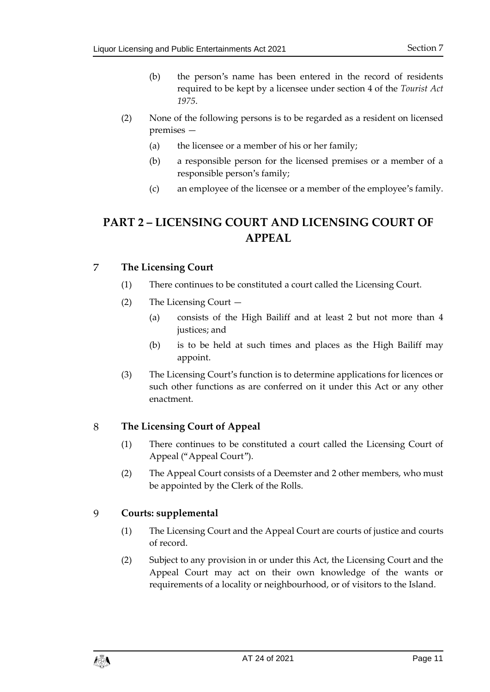- (b) the person's name has been entered in the record of residents required to be kept by a licensee under section 4 of the *Tourist Act 1975*.
- (2) None of the following persons is to be regarded as a resident on licensed premises —
	- (a) the licensee or a member of his or her family;
	- (b) a responsible person for the licensed premises or a member of a responsible person's family;
	- (c) an employee of the licensee or a member of the employee's family.

## <span id="page-10-0"></span>**PART 2 – LICENSING COURT AND LICENSING COURT OF APPEAL**

#### <span id="page-10-1"></span> $\overline{7}$ **The Licensing Court**

- (1) There continues to be constituted a court called the Licensing Court.
- (2) The Licensing Court
	- (a) consists of the High Bailiff and at least 2 but not more than 4 justices; and
	- (b) is to be held at such times and places as the High Bailiff may appoint.
- (3) The Licensing Court's function is to determine applications for licences or such other functions as are conferred on it under this Act or any other enactment.

#### <span id="page-10-2"></span>8 **The Licensing Court of Appeal**

- (1) There continues to be constituted a court called the Licensing Court of Appeal ("Appeal Court").
- (2) The Appeal Court consists of a Deemster and 2 other members, who must be appointed by the Clerk of the Rolls.

#### <span id="page-10-3"></span>9 **Courts: supplemental**

- (1) The Licensing Court and the Appeal Court are courts of justice and courts of record.
- (2) Subject to any provision in or under this Act, the Licensing Court and the Appeal Court may act on their own knowledge of the wants or requirements of a locality or neighbourhood, or of visitors to the Island.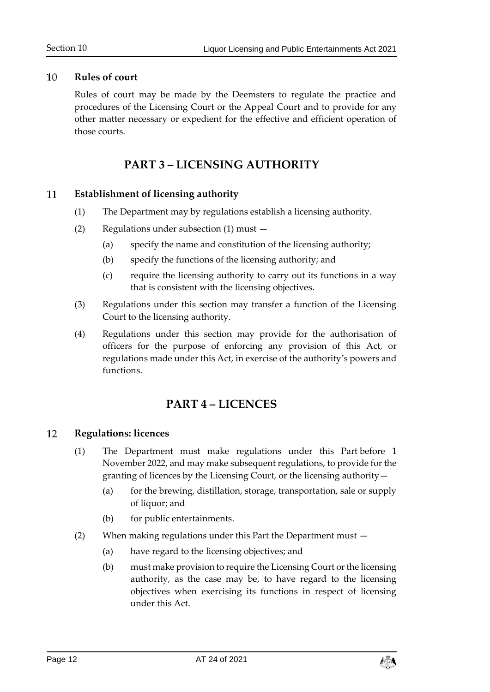#### <span id="page-11-0"></span> $10$ **Rules of court**

Rules of court may be made by the Deemsters to regulate the practice and procedures of the Licensing Court or the Appeal Court and to provide for any other matter necessary or expedient for the effective and efficient operation of those courts.

## **PART 3 – LICENSING AUTHORITY**

#### <span id="page-11-2"></span><span id="page-11-1"></span>11 **Establishment of licensing authority**

- (1) The Department may by regulations establish a licensing authority.
- (2) Regulations under subsection (1) must
	- (a) specify the name and constitution of the licensing authority;
	- (b) specify the functions of the licensing authority; and
	- (c) require the licensing authority to carry out its functions in a way that is consistent with the licensing objectives.
- (3) Regulations under this section may transfer a function of the Licensing Court to the licensing authority.
- (4) Regulations under this section may provide for the authorisation of officers for the purpose of enforcing any provision of this Act, or regulations made under this Act, in exercise of the authority's powers and functions.

## **PART 4 – LICENCES**

#### <span id="page-11-4"></span><span id="page-11-3"></span>12 **Regulations: licences**

- (1) The Department must make regulations under this Part before 1 November 2022, and may make subsequent regulations, to provide for the granting of licences by the Licensing Court, or the licensing authority—
	- (a) for the brewing, distillation, storage, transportation, sale or supply of liquor; and
	- (b) for public entertainments.
- (2) When making regulations under this Part the Department must
	- (a) have regard to the licensing objectives; and
	- (b) must make provision to require the Licensing Court or the licensing authority, as the case may be, to have regard to the licensing objectives when exercising its functions in respect of licensing under this Act.

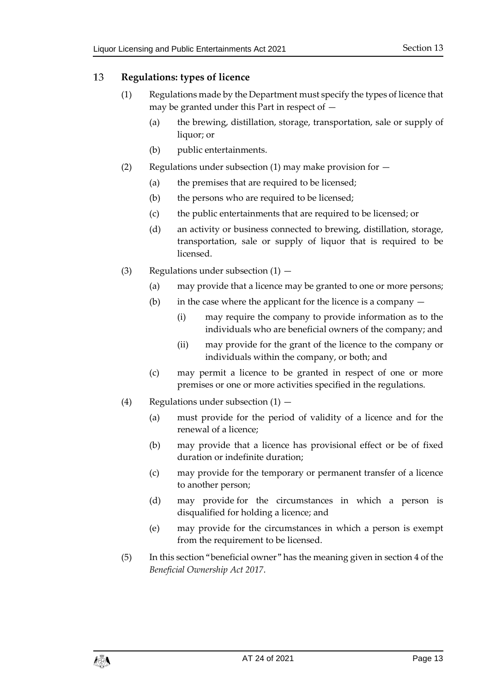#### <span id="page-12-0"></span>13 **Regulations: types of licence**

- (1) Regulations made by the Department must specify the types of licence that may be granted under this Part in respect of —
	- (a) the brewing, distillation, storage, transportation, sale or supply of liquor; or
	- (b) public entertainments.
- (2) Regulations under subsection (1) may make provision for  $-$ 
	- (a) the premises that are required to be licensed;
	- (b) the persons who are required to be licensed;
	- (c) the public entertainments that are required to be licensed; or
	- (d) an activity or business connected to brewing, distillation, storage, transportation, sale or supply of liquor that is required to be licensed.
- (3) Regulations under subsection  $(1)$ 
	- (a) may provide that a licence may be granted to one or more persons;
	- (b) in the case where the applicant for the licence is a company
		- (i) may require the company to provide information as to the individuals who are beneficial owners of the company; and
		- (ii) may provide for the grant of the licence to the company or individuals within the company, or both; and
	- (c) may permit a licence to be granted in respect of one or more premises or one or more activities specified in the regulations.
- (4) Regulations under subsection  $(1)$ 
	- (a) must provide for the period of validity of a licence and for the renewal of a licence;
	- (b) may provide that a licence has provisional effect or be of fixed duration or indefinite duration;
	- (c) may provide for the temporary or permanent transfer of a licence to another person;
	- (d) may provide for the circumstances in which a person is disqualified for holding a licence; and
	- (e) may provide for the circumstances in which a person is exempt from the requirement to be licensed.
- (5) In this section "beneficial owner" has the meaning given in section 4 of the *Beneficial Ownership Act 2017*.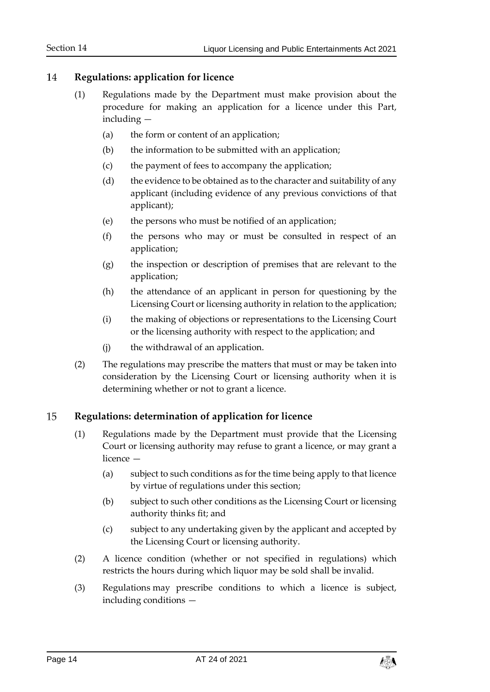#### <span id="page-13-0"></span>14 **Regulations: application for licence**

- (1) Regulations made by the Department must make provision about the procedure for making an application for a licence under this Part, including —
	- (a) the form or content of an application;
	- (b) the information to be submitted with an application;
	- (c) the payment of fees to accompany the application;
	- (d) the evidence to be obtained as to the character and suitability of any applicant (including evidence of any previous convictions of that applicant);
	- (e) the persons who must be notified of an application;
	- (f) the persons who may or must be consulted in respect of an application;
	- (g) the inspection or description of premises that are relevant to the application;
	- (h) the attendance of an applicant in person for questioning by the Licensing Court or licensing authority in relation to the application;
	- (i) the making of objections or representations to the Licensing Court or the licensing authority with respect to the application; and
	- (j) the withdrawal of an application.
- (2) The regulations may prescribe the matters that must or may be taken into consideration by the Licensing Court or licensing authority when it is determining whether or not to grant a licence.

#### <span id="page-13-1"></span>15 **Regulations: determination of application for licence**

- (1) Regulations made by the Department must provide that the Licensing Court or licensing authority may refuse to grant a licence, or may grant a licence —
	- (a) subject to such conditions as for the time being apply to that licence by virtue of regulations under this section;
	- (b) subject to such other conditions as the Licensing Court or licensing authority thinks fit; and
	- (c) subject to any undertaking given by the applicant and accepted by the Licensing Court or licensing authority.
- (2) A licence condition (whether or not specified in regulations) which restricts the hours during which liquor may be sold shall be invalid.
- (3) Regulations may prescribe conditions to which a licence is subject, including conditions —

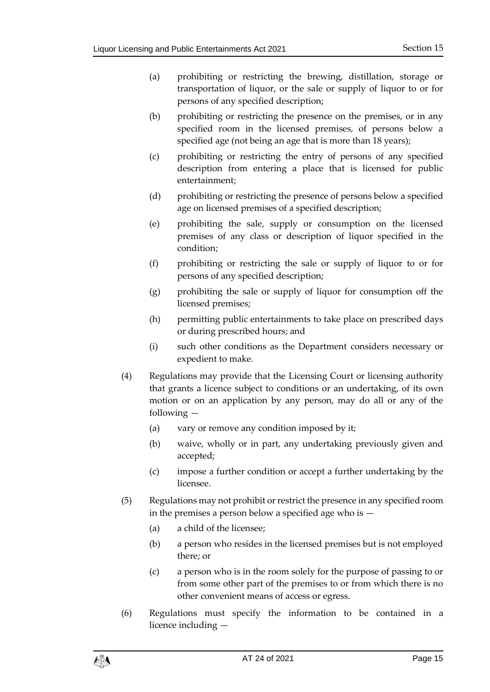- (a) prohibiting or restricting the brewing, distillation, storage or transportation of liquor, or the sale or supply of liquor to or for persons of any specified description;
- (b) prohibiting or restricting the presence on the premises, or in any specified room in the licensed premises, of persons below a specified age (not being an age that is more than 18 years);
- (c) prohibiting or restricting the entry of persons of any specified description from entering a place that is licensed for public entertainment;
- (d) prohibiting or restricting the presence of persons below a specified age on licensed premises of a specified description;
- (e) prohibiting the sale, supply or consumption on the licensed premises of any class or description of liquor specified in the condition;
- (f) prohibiting or restricting the sale or supply of liquor to or for persons of any specified description;
- (g) prohibiting the sale or supply of liquor for consumption off the licensed premises;
- (h) permitting public entertainments to take place on prescribed days or during prescribed hours; and
- (i) such other conditions as the Department considers necessary or expedient to make.
- (4) Regulations may provide that the Licensing Court or licensing authority that grants a licence subject to conditions or an undertaking, of its own motion or on an application by any person, may do all or any of the following —
	- (a) vary or remove any condition imposed by it;
	- (b) waive, wholly or in part, any undertaking previously given and accepted;
	- (c) impose a further condition or accept a further undertaking by the licensee.
- (5) Regulations may not prohibit or restrict the presence in any specified room in the premises a person below a specified age who is  $-$ 
	- (a) a child of the licensee;
	- (b) a person who resides in the licensed premises but is not employed there; or
	- (c) a person who is in the room solely for the purpose of passing to or from some other part of the premises to or from which there is no other convenient means of access or egress.
- (6) Regulations must specify the information to be contained in a licence including —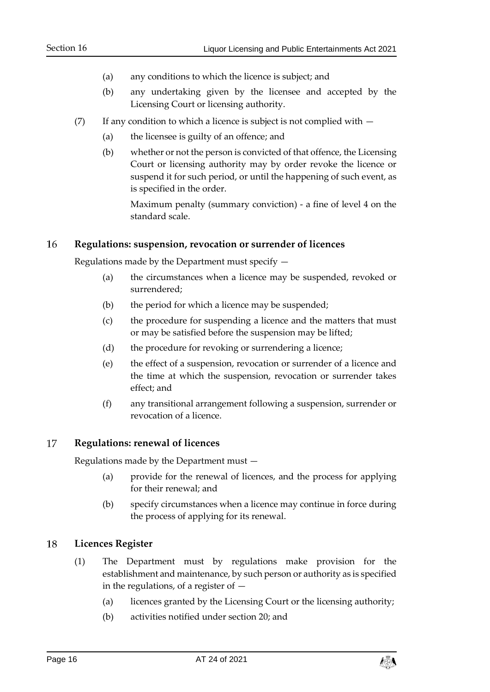- (a) any conditions to which the licence is subject; and
- (b) any undertaking given by the licensee and accepted by the Licensing Court or licensing authority.
- (7) If any condition to which a licence is subject is not complied with  $-$ 
	- (a) the licensee is guilty of an offence; and
	- (b) whether or not the person is convicted of that offence, the Licensing Court or licensing authority may by order revoke the licence or suspend it for such period, or until the happening of such event, as is specified in the order.

Maximum penalty (summary conviction) - a fine of level 4 on the standard scale.

#### <span id="page-15-0"></span>16 **Regulations: suspension, revocation or surrender of licences**

Regulations made by the Department must specify —

- (a) the circumstances when a licence may be suspended, revoked or surrendered;
- (b) the period for which a licence may be suspended;
- (c) the procedure for suspending a licence and the matters that must or may be satisfied before the suspension may be lifted;
- (d) the procedure for revoking or surrendering a licence;
- (e) the effect of a suspension, revocation or surrender of a licence and the time at which the suspension, revocation or surrender takes effect; and
- (f) any transitional arrangement following a suspension, surrender or revocation of a licence.

#### <span id="page-15-1"></span>17 **Regulations: renewal of licences**

Regulations made by the Department must —

- (a) provide for the renewal of licences, and the process for applying for their renewal; and
- (b) specify circumstances when a licence may continue in force during the process of applying for its renewal.

#### <span id="page-15-2"></span>18 **Licences Register**

- (1) The Department must by regulations make provision for the establishment and maintenance, by such person or authority as is specified in the regulations, of a register of —
	- (a) licences granted by the Licensing Court or the licensing authority;
	- (b) activities notified under section [20;](#page-17-0) and

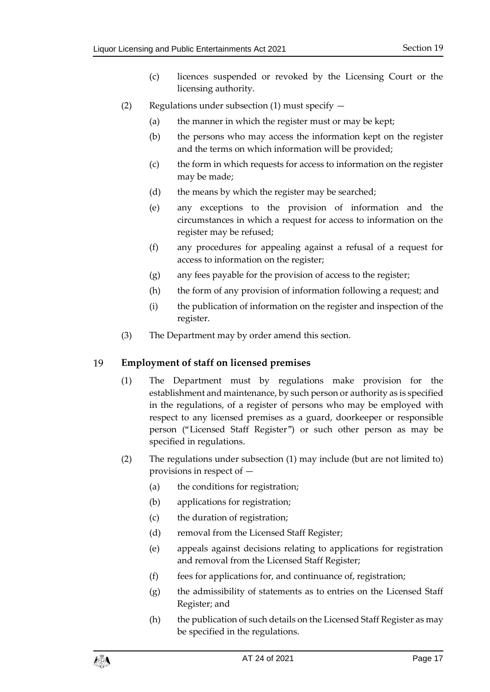- (c) licences suspended or revoked by the Licensing Court or the licensing authority.
- (2) Regulations under subsection (1) must specify  $-$ 
	- (a) the manner in which the register must or may be kept;
	- (b) the persons who may access the information kept on the register and the terms on which information will be provided;
	- (c) the form in which requests for access to information on the register may be made;
	- (d) the means by which the register may be searched;
	- (e) any exceptions to the provision of information and the circumstances in which a request for access to information on the register may be refused;
	- (f) any procedures for appealing against a refusal of a request for access to information on the register;
	- (g) any fees payable for the provision of access to the register;
	- (h) the form of any provision of information following a request; and
	- (i) the publication of information on the register and inspection of the register.
- (3) The Department may by order amend this section.

#### <span id="page-16-0"></span>19 **Employment of staff on licensed premises**

- (1) The Department must by regulations make provision for the establishment and maintenance, by such person or authority as is specified in the regulations, of a register of persons who may be employed with respect to any licensed premises as a guard, doorkeeper or responsible person ("Licensed Staff Register") or such other person as may be specified in regulations.
- (2) The regulations under subsection (1) may include (but are not limited to) provisions in respect of —
	- (a) the conditions for registration;
	- (b) applications for registration;
	- (c) the duration of registration;
	- (d) removal from the Licensed Staff Register;
	- (e) appeals against decisions relating to applications for registration and removal from the Licensed Staff Register;
	- $(f)$  fees for applications for, and continuance of, registration;
	- (g) the admissibility of statements as to entries on the Licensed Staff Register; and
	- (h) the publication of such details on the Licensed Staff Register as may be specified in the regulations.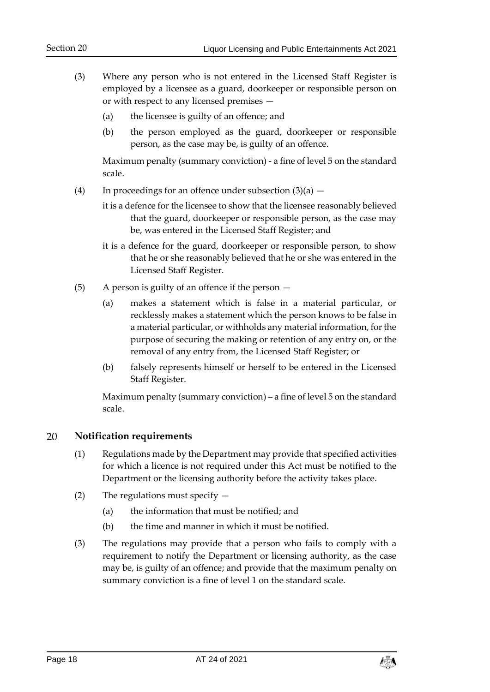- (3) Where any person who is not entered in the Licensed Staff Register is employed by a licensee as a guard, doorkeeper or responsible person on or with respect to any licensed premises —
	- (a) the licensee is guilty of an offence; and
	- (b) the person employed as the guard, doorkeeper or responsible person, as the case may be, is guilty of an offence.

Maximum penalty (summary conviction) - a fine of level 5 on the standard scale.

- (4) In proceedings for an offence under subsection  $(3)(a)$ 
	- it is a defence for the licensee to show that the licensee reasonably believed that the guard, doorkeeper or responsible person, as the case may be, was entered in the Licensed Staff Register; and
	- it is a defence for the guard, doorkeeper or responsible person, to show that he or she reasonably believed that he or she was entered in the Licensed Staff Register.
- (5) A person is guilty of an offence if the person
	- (a) makes a statement which is false in a material particular, or recklessly makes a statement which the person knows to be false in a material particular, or withholds any material information, for the purpose of securing the making or retention of any entry on, or the removal of any entry from, the Licensed Staff Register; or
	- (b) falsely represents himself or herself to be entered in the Licensed Staff Register.

Maximum penalty (summary conviction) – a fine of level 5 on the standard scale.

#### <span id="page-17-0"></span>20 **Notification requirements**

- (1) Regulations made by the Department may provide that specified activities for which a licence is not required under this Act must be notified to the Department or the licensing authority before the activity takes place.
- (2) The regulations must specify
	- (a) the information that must be notified; and
	- (b) the time and manner in which it must be notified.
- (3) The regulations may provide that a person who fails to comply with a requirement to notify the Department or licensing authority, as the case may be, is guilty of an offence; and provide that the maximum penalty on summary conviction is a fine of level 1 on the standard scale.

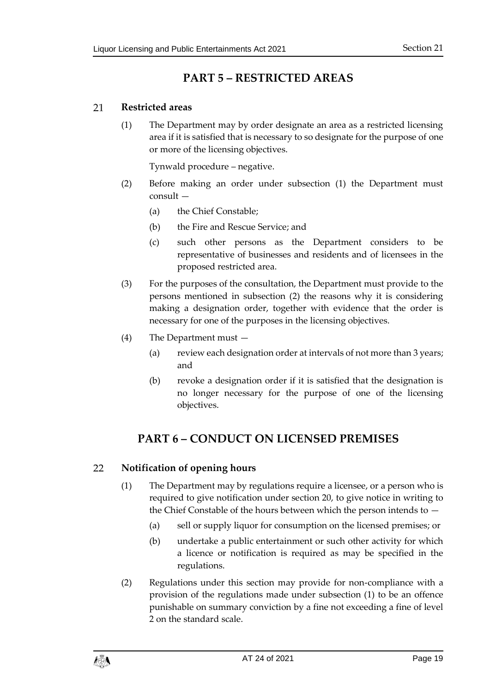## **PART 5 – RESTRICTED AREAS**

#### <span id="page-18-1"></span><span id="page-18-0"></span>21 **Restricted areas**

(1) The Department may by order designate an area as a restricted licensing area if it is satisfied that is necessary to so designate for the purpose of one or more of the licensing objectives.

Tynwald procedure – negative.

- (2) Before making an order under subsection (1) the Department must consult —
	- (a) the Chief Constable;
	- (b) the Fire and Rescue Service; and
	- (c) such other persons as the Department considers to be representative of businesses and residents and of licensees in the proposed restricted area.
- (3) For the purposes of the consultation, the Department must provide to the persons mentioned in subsection (2) the reasons why it is considering making a designation order, together with evidence that the order is necessary for one of the purposes in the licensing objectives.
- (4) The Department must
	- (a) review each designation order at intervals of not more than 3 years; and
	- (b) revoke a designation order if it is satisfied that the designation is no longer necessary for the purpose of one of the licensing objectives.

## <span id="page-18-2"></span>**PART 6 – CONDUCT ON LICENSED PREMISES**

#### <span id="page-18-4"></span><span id="page-18-3"></span>22 **Notification of opening hours**

- (1) The Department may by regulations require a licensee, or a person who is required to give notification under section 20, to give notice in writing to the Chief Constable of the hours between which the person intends to —
	- (a) sell or supply liquor for consumption on the licensed premises; or
	- (b) undertake a public entertainment or such other activity for which a licence or notification is required as may be specified in the regulations.
- (2) Regulations under this section may provide for non-compliance with a provision of the regulations made under subsection (1) to be an offence punishable on summary conviction by a fine not exceeding a fine of level 2 on the standard scale.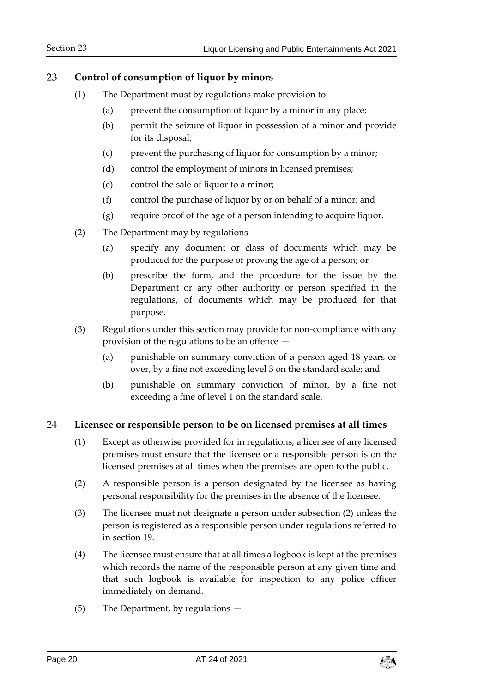#### <span id="page-19-0"></span>23 **Control of consumption of liquor by minors**

- (1) The Department must by regulations make provision to  $-$ 
	- (a) prevent the consumption of liquor by a minor in any place;
	- (b) permit the seizure of liquor in possession of a minor and provide for its disposal;
	- (c) prevent the purchasing of liquor for consumption by a minor;
	- (d) control the employment of minors in licensed premises;
	- (e) control the sale of liquor to a minor;
	- (f) control the purchase of liquor by or on behalf of a minor; and
	- (g) require proof of the age of a person intending to acquire liquor.
- (2) The Department may by regulations
	- (a) specify any document or class of documents which may be produced for the purpose of proving the age of a person; or
	- (b) prescribe the form, and the procedure for the issue by the Department or any other authority or person specified in the regulations, of documents which may be produced for that purpose.
- (3) Regulations under this section may provide for non-compliance with any provision of the regulations to be an offence —
	- (a) punishable on summary conviction of a person aged 18 years or over, by a fine not exceeding level 3 on the standard scale; and
	- (b) punishable on summary conviction of minor, by a fine not exceeding a fine of level 1 on the standard scale.

#### <span id="page-19-1"></span>24 **Licensee or responsible person to be on licensed premises at all times**

- (1) Except as otherwise provided for in regulations, a licensee of any licensed premises must ensure that the licensee or a responsible person is on the licensed premises at all times when the premises are open to the public.
- (2) A responsible person is a person designated by the licensee as having personal responsibility for the premises in the absence of the licensee.
- (3) The licensee must not designate a person under subsection (2) unless the person is registered as a responsible person under regulations referred to in section 19.
- (4) The licensee must ensure that at all times a logbook is kept at the premises which records the name of the responsible person at any given time and that such logbook is available for inspection to any police officer immediately on demand.
- (5) The Department, by regulations —

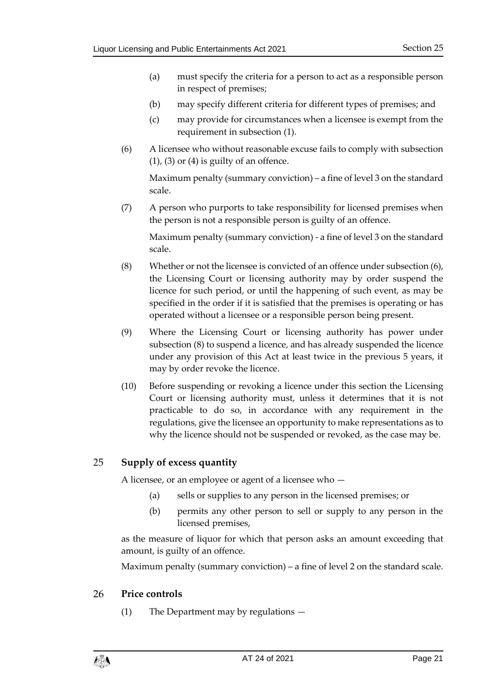- (a) must specify the criteria for a person to act as a responsible person in respect of premises;
- (b) may specify different criteria for different types of premises; and
- (c) may provide for circumstances when a licensee is exempt from the requirement in subsection (1).
- (6) A licensee who without reasonable excuse fails to comply with subsection  $(1)$ ,  $(3)$  or  $(4)$  is guilty of an offence.

Maximum penalty (summary conviction) – a fine of level 3 on the standard scale.

(7) A person who purports to take responsibility for licensed premises when the person is not a responsible person is guilty of an offence.

Maximum penalty (summary conviction) - a fine of level 3 on the standard scale.

- (8) Whether or not the licensee is convicted of an offence under subsection (6), the Licensing Court or licensing authority may by order suspend the licence for such period, or until the happening of such event, as may be specified in the order if it is satisfied that the premises is operating or has operated without a licensee or a responsible person being present.
- (9) Where the Licensing Court or licensing authority has power under subsection (8) to suspend a licence, and has already suspended the licence under any provision of this Act at least twice in the previous 5 years, it may by order revoke the licence.
- (10) Before suspending or revoking a licence under this section the Licensing Court or licensing authority must, unless it determines that it is not practicable to do so, in accordance with any requirement in the regulations, give the licensee an opportunity to make representations as to why the licence should not be suspended or revoked, as the case may be.

#### <span id="page-20-0"></span>25 **Supply of excess quantity**

A licensee, or an employee or agent of a licensee who —

- (a) sells or supplies to any person in the licensed premises; or
- (b) permits any other person to sell or supply to any person in the licensed premises,

as the measure of liquor for which that person asks an amount exceeding that amount, is guilty of an offence.

Maximum penalty (summary conviction) – a fine of level 2 on the standard scale.

#### <span id="page-20-1"></span>26 **Price controls**

(1) The Department may by regulations —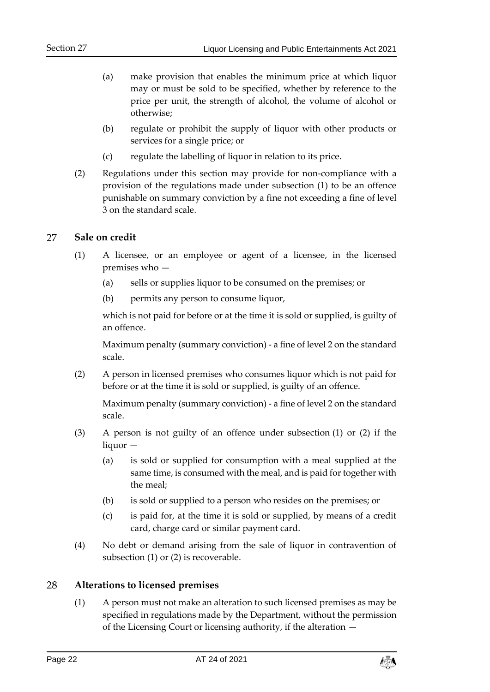- (a) make provision that enables the minimum price at which liquor may or must be sold to be specified, whether by reference to the price per unit, the strength of alcohol, the volume of alcohol or otherwise;
- (b) regulate or prohibit the supply of liquor with other products or services for a single price; or
- (c) regulate the labelling of liquor in relation to its price.
- (2) Regulations under this section may provide for non-compliance with a provision of the regulations made under subsection (1) to be an offence punishable on summary conviction by a fine not exceeding a fine of level 3 on the standard scale.

#### <span id="page-21-0"></span>27 **Sale on credit**

- (1) A licensee, or an employee or agent of a licensee, in the licensed premises who —
	- (a) sells or supplies liquor to be consumed on the premises; or
	- (b) permits any person to consume liquor,

which is not paid for before or at the time it is sold or supplied, is guilty of an offence.

Maximum penalty (summary conviction) - a fine of level 2 on the standard scale.

(2) A person in licensed premises who consumes liquor which is not paid for before or at the time it is sold or supplied, is guilty of an offence.

Maximum penalty (summary conviction) - a fine of level 2 on the standard scale.

- (3) A person is not guilty of an offence under subsection (1) or (2) if the liquor —
	- (a) is sold or supplied for consumption with a meal supplied at the same time, is consumed with the meal, and is paid for together with the meal;
	- (b) is sold or supplied to a person who resides on the premises; or
	- (c) is paid for, at the time it is sold or supplied, by means of a credit card, charge card or similar payment card.
- (4) No debt or demand arising from the sale of liquor in contravention of subsection (1) or (2) is recoverable.

#### <span id="page-21-1"></span>28 **Alterations to licensed premises**

(1) A person must not make an alteration to such licensed premises as may be specified in regulations made by the Department, without the permission of the Licensing Court or licensing authority, if the alteration —

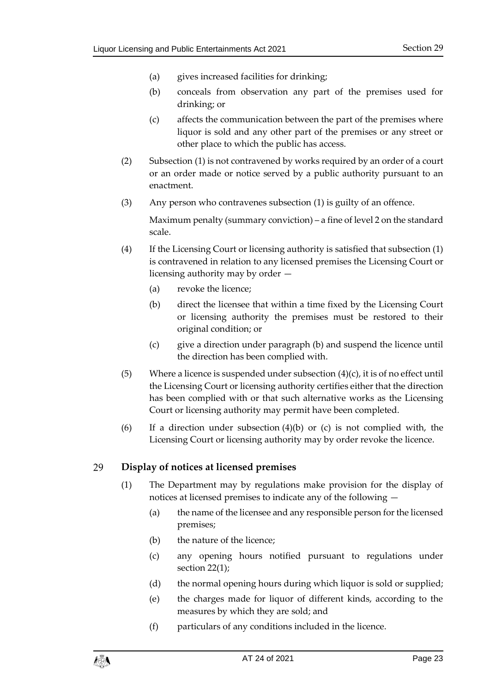- (a) gives increased facilities for drinking;
- (b) conceals from observation any part of the premises used for drinking; or
- (c) affects the communication between the part of the premises where liquor is sold and any other part of the premises or any street or other place to which the public has access.
- (2) Subsection (1) is not contravened by works required by an order of a court or an order made or notice served by a public authority pursuant to an enactment.
- (3) Any person who contravenes subsection (1) is guilty of an offence.

Maximum penalty (summary conviction) – a fine of level 2 on the standard scale.

- (4) If the Licensing Court or licensing authority is satisfied that subsection (1) is contravened in relation to any licensed premises the Licensing Court or licensing authority may by order —
	- (a) revoke the licence;
	- (b) direct the licensee that within a time fixed by the Licensing Court or licensing authority the premises must be restored to their original condition; or
	- (c) give a direction under paragraph (b) and suspend the licence until the direction has been complied with.
- (5) Where a licence is suspended under subsection  $(4)(c)$ , it is of no effect until the Licensing Court or licensing authority certifies either that the direction has been complied with or that such alternative works as the Licensing Court or licensing authority may permit have been completed.
- (6) If a direction under subsection (4)(b) or (c) is not complied with, the Licensing Court or licensing authority may by order revoke the licence.

#### <span id="page-22-0"></span>29 **Display of notices at licensed premises**

- (1) The Department may by regulations make provision for the display of notices at licensed premises to indicate any of the following —
	- (a) the name of the licensee and any responsible person for the licensed premises;
	- (b) the nature of the licence;
	- (c) any opening hours notified pursuant to regulations under section [22\(1\);](#page-18-4)
	- (d) the normal opening hours during which liquor is sold or supplied;
	- (e) the charges made for liquor of different kinds, according to the measures by which they are sold; and
	- (f) particulars of any conditions included in the licence.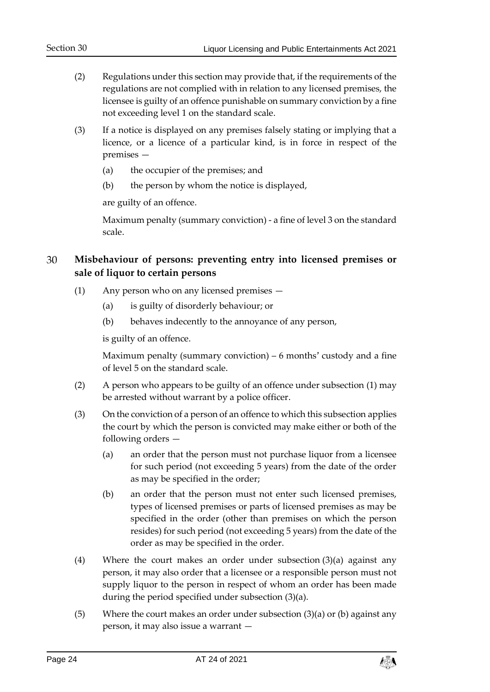- (2) Regulations under this section may provide that, if the requirements of the regulations are not complied with in relation to any licensed premises, the licensee is guilty of an offence punishable on summary conviction by a fine not exceeding level 1 on the standard scale.
- (3) If a notice is displayed on any premises falsely stating or implying that a licence, or a licence of a particular kind, is in force in respect of the premises —
	- (a) the occupier of the premises; and
	- (b) the person by whom the notice is displayed,

are guilty of an offence.

Maximum penalty (summary conviction) - a fine of level 3 on the standard scale.

#### <span id="page-23-0"></span>30 **Misbehaviour of persons: preventing entry into licensed premises or sale of liquor to certain persons**

- (1) Any person who on any licensed premises
	- (a) is guilty of disorderly behaviour; or
	- (b) behaves indecently to the annoyance of any person,

is guilty of an offence.

Maximum penalty (summary conviction) – 6 months' custody and a fine of level 5 on the standard scale.

- (2) A person who appears to be guilty of an offence under subsection (1) may be arrested without warrant by a police officer.
- <span id="page-23-1"></span>(3) On the conviction of a person of an offence to which this subsection applies the court by which the person is convicted may make either or both of the following orders —
	- (a) an order that the person must not purchase liquor from a licensee for such period (not exceeding 5 years) from the date of the order as may be specified in the order;
	- (b) an order that the person must not enter such licensed premises, types of licensed premises or parts of licensed premises as may be specified in the order (other than premises on which the person resides) for such period (not exceeding 5 years) from the date of the order as may be specified in the order.
- (4) Where the court makes an order under subsection (3)(a) against any person, it may also order that a licensee or a responsible person must not supply liquor to the person in respect of whom an order has been made during the period specified under subsection (3)(a).
- (5) Where the court makes an order under subsection (3)(a) or (b) against any person, it may also issue a warrant —

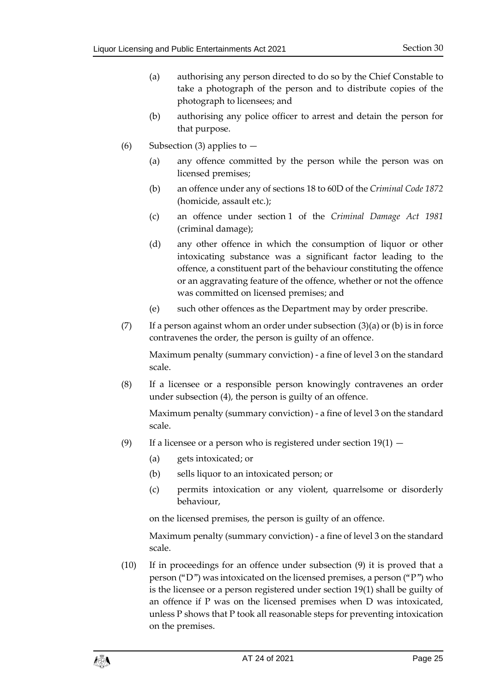- (a) authorising any person directed to do so by the Chief Constable to take a photograph of the person and to distribute copies of the photograph to licensees; and
- (b) authorising any police officer to arrest and detain the person for that purpose.
- (6) Subsection (3) applies to  $-$ 
	- (a) any offence committed by the person while the person was on licensed premises;
	- (b) an offence under any of sections 18 to 60D of the *Criminal Code 1872* (homicide, assault etc.);
	- (c) an offence under section 1 of the *Criminal Damage Act 1981* (criminal damage);
	- (d) any other offence in which the consumption of liquor or other intoxicating substance was a significant factor leading to the offence, a constituent part of the behaviour constituting the offence or an aggravating feature of the offence, whether or not the offence was committed on licensed premises; and
	- (e) such other offences as the Department may by order prescribe.
- (7) If a person against whom an order under subsection  $(3)(a)$  or (b) is in force contravenes the order, the person is guilty of an offence.

Maximum penalty (summary conviction) - a fine of level 3 on the standard scale.

(8) If a licensee or a responsible person knowingly contravenes an order under subsection (4), the person is guilty of an offence.

Maximum penalty (summary conviction) - a fine of level 3 on the standard scale.

- (9) If a licensee or a person who is registered under section  $19(1)$ 
	- (a) gets intoxicated; or
	- (b) sells liquor to an intoxicated person; or
	- (c) permits intoxication or any violent, quarrelsome or disorderly behaviour,

on the licensed premises, the person is guilty of an offence.

Maximum penalty (summary conviction) - a fine of level 3 on the standard scale.

(10) If in proceedings for an offence under subsection (9) it is proved that a person ("D") was intoxicated on the licensed premises, a person ("P") who is the licensee or a person registered under section 19(1) shall be guilty of an offence if P was on the licensed premises when D was intoxicated, unless P shows that P took all reasonable steps for preventing intoxication on the premises.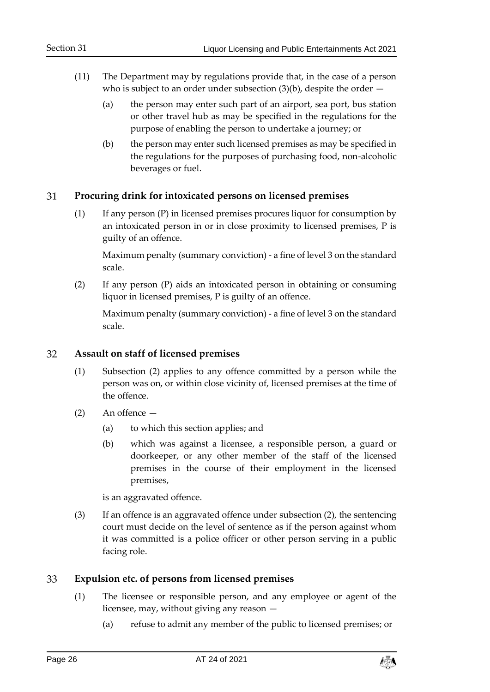- (11) The Department may by regulations provide that, in the case of a person who is subject to an order under subsection  $(3)(b)$ , despite the order  $-$ 
	- (a) the person may enter such part of an airport, sea port, bus station or other travel hub as may be specified in the regulations for the purpose of enabling the person to undertake a journey; or
	- (b) the person may enter such licensed premises as may be specified in the regulations for the purposes of purchasing food, non-alcoholic beverages or fuel.

#### <span id="page-25-0"></span>31 **Procuring drink for intoxicated persons on licensed premises**

(1) If any person (P) in licensed premises procures liquor for consumption by an intoxicated person in or in close proximity to licensed premises, P is guilty of an offence.

Maximum penalty (summary conviction) - a fine of level 3 on the standard scale.

(2) If any person (P) aids an intoxicated person in obtaining or consuming liquor in licensed premises, P is guilty of an offence.

Maximum penalty (summary conviction) - a fine of level 3 on the standard scale.

#### <span id="page-25-1"></span>32 **Assault on staff of licensed premises**

- (1) Subsection (2) applies to any offence committed by a person while the person was on, or within close vicinity of, licensed premises at the time of the offence.
- (2) An offence
	- (a) to which this section applies; and
	- (b) which was against a licensee, a responsible person, a guard or doorkeeper, or any other member of the staff of the licensed premises in the course of their employment in the licensed premises,

is an aggravated offence.

(3) If an offence is an aggravated offence under subsection (2), the sentencing court must decide on the level of sentence as if the person against whom it was committed is a police officer or other person serving in a public facing role.

#### <span id="page-25-3"></span><span id="page-25-2"></span>33 **Expulsion etc. of persons from licensed premises**

- (1) The licensee or responsible person, and any employee or agent of the licensee, may, without giving any reason —
	- (a) refuse to admit any member of the public to licensed premises; or

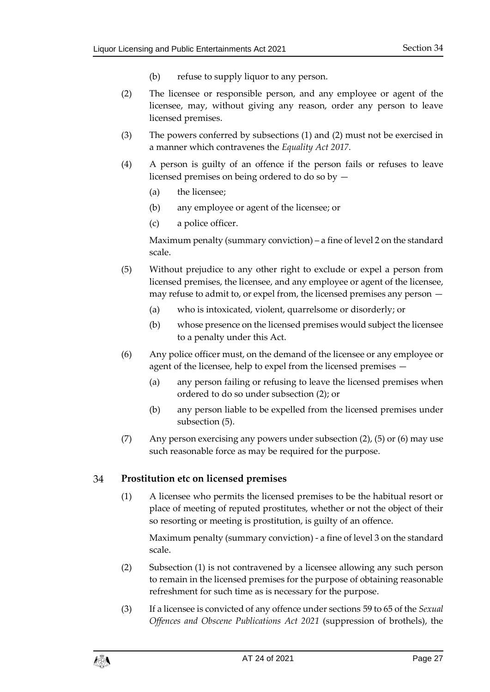- (b) refuse to supply liquor to any person.
- <span id="page-26-1"></span>(2) The licensee or responsible person, and any employee or agent of the licensee, may, without giving any reason, order any person to leave licensed premises.
- (3) The powers conferred by subsections (1) and (2) must not be exercised in a manner which contravenes the *Equality Act 2017.*
- (4) A person is guilty of an offence if the person fails or refuses to leave licensed premises on being ordered to do so by —
	- (a) the licensee;
	- (b) any employee or agent of the licensee; or
	- (c) a police officer.

Maximum penalty (summary conviction) – a fine of level 2 on the standard scale.

- <span id="page-26-2"></span>(5) Without prejudice to any other right to exclude or expel a person from licensed premises, the licensee, and any employee or agent of the licensee, may refuse to admit to, or expel from, the licensed premises any person —
	- (a) who is intoxicated, violent, quarrelsome or disorderly; or
	- (b) whose presence on the licensed premises would subject the licensee to a penalty under this Act.
- (6) Any police officer must, on the demand of the licensee or any employee or agent of the licensee, help to expel from the licensed premises —
	- (a) any person failing or refusing to leave the licensed premises when ordered to do so under subsection (2); or
	- (b) any person liable to be expelled from the licensed premises under subsection (5).
- (7) Any person exercising any powers under subsection  $(2)$ ,  $(5)$  or  $(6)$  may use such reasonable force as may be required for the purpose.

#### <span id="page-26-0"></span>34 **Prostitution etc on licensed premises**

(1) A licensee who permits the licensed premises to be the habitual resort or place of meeting of reputed prostitutes, whether or not the object of their so resorting or meeting is prostitution, is guilty of an offence.

Maximum penalty (summary conviction) - a fine of level 3 on the standard scale.

- (2) Subsection (1) is not contravened by a licensee allowing any such person to remain in the licensed premises for the purpose of obtaining reasonable refreshment for such time as is necessary for the purpose.
- (3) If a licensee is convicted of any offence under sections 59 to 65 of the *Sexual Offences and Obscene Publications Act 2021* (suppression of brothels), the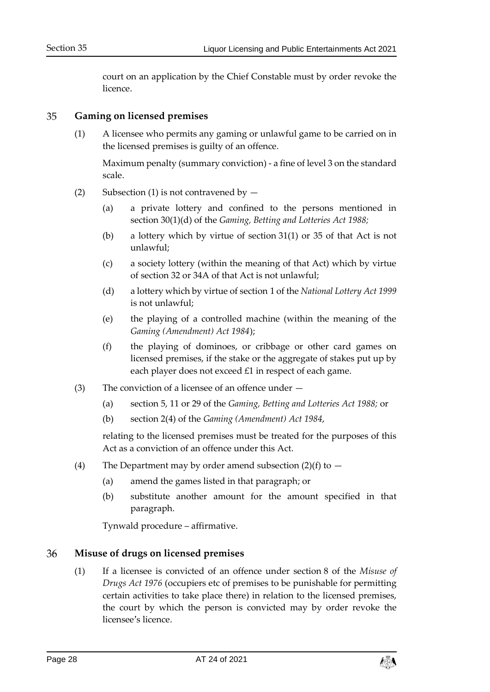court on an application by the Chief Constable must by order revoke the licence.

#### <span id="page-27-0"></span>35 **Gaming on licensed premises**

(1) A licensee who permits any gaming or unlawful game to be carried on in the licensed premises is guilty of an offence.

Maximum penalty (summary conviction) - a fine of level 3 on the standard scale.

- (2) Subsection (1) is not contravened by  $-$ 
	- (a) a private lottery and confined to the persons mentioned in section 30(1)(d) of the *Gaming, Betting and Lotteries Act 1988;*
	- (b) a lottery which by virtue of section 31(1) or 35 of that Act is not unlawful;
	- (c) a society lottery (within the meaning of that Act) which by virtue of section 32 or 34A of that Act is not unlawful;
	- (d) a lottery which by virtue of section 1 of the *National Lottery Act 1999* is not unlawful;
	- (e) the playing of a controlled machine (within the meaning of the *Gaming (Amendment) Act 1984*);
	- (f) the playing of dominoes, or cribbage or other card games on licensed premises, if the stake or the aggregate of stakes put up by each player does not exceed £1 in respect of each game.
- (3) The conviction of a licensee of an offence under
	- (a) section 5, 11 or 29 of the *Gaming, Betting and Lotteries Act 1988;* or
	- (b) section 2(4) of the *Gaming (Amendment) Act 1984*,

relating to the licensed premises must be treated for the purposes of this Act as a conviction of an offence under this Act.

- (4) The Department may by order amend subsection  $(2)(f)$  to  $-$ 
	- (a) amend the games listed in that paragraph; or
	- (b) substitute another amount for the amount specified in that paragraph.

Tynwald procedure – affirmative.

#### <span id="page-27-1"></span>36 **Misuse of drugs on licensed premises**

(1) If a licensee is convicted of an offence under section 8 of the *Misuse of Drugs Act 1976* (occupiers etc of premises to be punishable for permitting certain activities to take place there) in relation to the licensed premises, the court by which the person is convicted may by order revoke the licensee's licence.

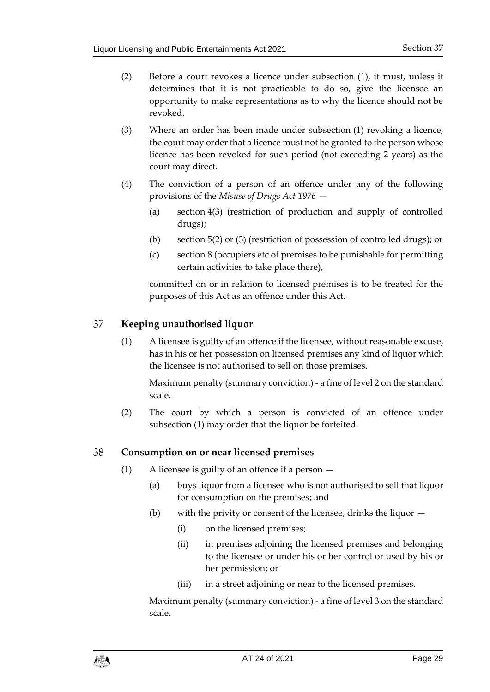- (2) Before a court revokes a licence under subsection (1), it must, unless it determines that it is not practicable to do so, give the licensee an opportunity to make representations as to why the licence should not be revoked.
- (3) Where an order has been made under subsection (1) revoking a licence, the court may order that a licence must not be granted to the person whose licence has been revoked for such period (not exceeding 2 years) as the court may direct.
- (4) The conviction of a person of an offence under any of the following provisions of the *Misuse of Drugs Act 1976* —
	- (a) section 4(3) (restriction of production and supply of controlled drugs);
	- (b) section 5(2) or (3) (restriction of possession of controlled drugs); or
	- (c) section 8 (occupiers etc of premises to be punishable for permitting certain activities to take place there),

committed on or in relation to licensed premises is to be treated for the purposes of this Act as an offence under this Act.

#### <span id="page-28-0"></span>37 **Keeping unauthorised liquor**

(1) A licensee is guilty of an offence if the licensee, without reasonable excuse, has in his or her possession on licensed premises any kind of liquor which the licensee is not authorised to sell on those premises.

Maximum penalty (summary conviction) - a fine of level 2 on the standard scale.

(2) The court by which a person is convicted of an offence under subsection (1) may order that the liquor be forfeited.

#### <span id="page-28-1"></span>38 **Consumption on or near licensed premises**

- (1) A licensee is guilty of an offence if a person
	- (a) buys liquor from a licensee who is not authorised to sell that liquor for consumption on the premises; and
	- (b) with the privity or consent of the licensee, drinks the liquor
		- (i) on the licensed premises;
		- (ii) in premises adjoining the licensed premises and belonging to the licensee or under his or her control or used by his or her permission; or
		- (iii) in a street adjoining or near to the licensed premises.

Maximum penalty (summary conviction) - a fine of level 3 on the standard scale.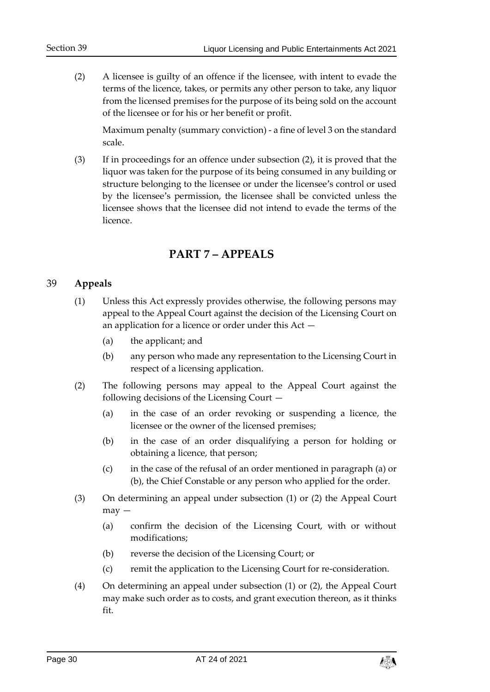(2) A licensee is guilty of an offence if the licensee, with intent to evade the terms of the licence, takes, or permits any other person to take, any liquor from the licensed premises for the purpose of its being sold on the account of the licensee or for his or her benefit or profit.

Maximum penalty (summary conviction) - a fine of level 3 on the standard scale.

(3) If in proceedings for an offence under subsection (2), it is proved that the liquor was taken for the purpose of its being consumed in any building or structure belonging to the licensee or under the licensee's control or used by the licensee's permission, the licensee shall be convicted unless the licensee shows that the licensee did not intend to evade the terms of the licence.

## **PART 7 – APPEALS**

#### <span id="page-29-1"></span><span id="page-29-0"></span>39 **Appeals**

- (1) Unless this Act expressly provides otherwise, the following persons may appeal to the Appeal Court against the decision of the Licensing Court on an application for a licence or order under this Act —
	- (a) the applicant; and
	- (b) any person who made any representation to the Licensing Court in respect of a licensing application.
- (2) The following persons may appeal to the Appeal Court against the following decisions of the Licensing Court —
	- (a) in the case of an order revoking or suspending a licence, the licensee or the owner of the licensed premises;
	- (b) in the case of an order disqualifying a person for holding or obtaining a licence, that person;
	- (c) in the case of the refusal of an order mentioned in paragraph (a) or (b), the Chief Constable or any person who applied for the order.
- (3) On determining an appeal under subsection (1) or (2) the Appeal Court  $may -$ 
	- (a) confirm the decision of the Licensing Court, with or without modifications;
	- (b) reverse the decision of the Licensing Court; or
	- (c) remit the application to the Licensing Court for re-consideration.
- (4) On determining an appeal under subsection (1) or (2), the Appeal Court may make such order as to costs, and grant execution thereon, as it thinks fit.

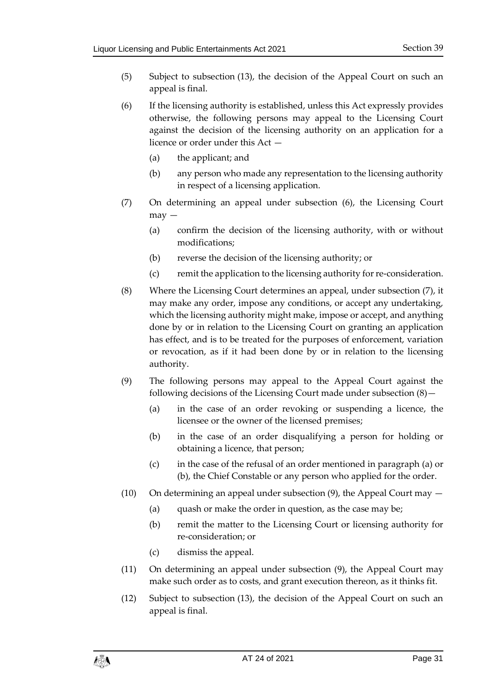- (5) Subject to subsection (13), the decision of the Appeal Court on such an appeal is final.
- (6) If the licensing authority is established, unless this Act expressly provides otherwise, the following persons may appeal to the Licensing Court against the decision of the licensing authority on an application for a licence or order under this Act —
	- (a) the applicant; and
	- (b) any person who made any representation to the licensing authority in respect of a licensing application.
- (7) On determining an appeal under subsection (6), the Licensing Court  $may -$ 
	- (a) confirm the decision of the licensing authority, with or without modifications;
	- (b) reverse the decision of the licensing authority; or
	- (c) remit the application to the licensing authority for re-consideration.
- (8) Where the Licensing Court determines an appeal, under subsection (7), it may make any order, impose any conditions, or accept any undertaking, which the licensing authority might make, impose or accept, and anything done by or in relation to the Licensing Court on granting an application has effect, and is to be treated for the purposes of enforcement, variation or revocation, as if it had been done by or in relation to the licensing authority.
- (9) The following persons may appeal to the Appeal Court against the following decisions of the Licensing Court made under subsection (8)—
	- (a) in the case of an order revoking or suspending a licence, the licensee or the owner of the licensed premises;
	- (b) in the case of an order disqualifying a person for holding or obtaining a licence, that person;
	- (c) in the case of the refusal of an order mentioned in paragraph (a) or (b), the Chief Constable or any person who applied for the order.
- (10) On determining an appeal under subsection  $(9)$ , the Appeal Court may  $-$ 
	- (a) quash or make the order in question, as the case may be;
	- (b) remit the matter to the Licensing Court or licensing authority for re-consideration; or
	- (c) dismiss the appeal.
- (11) On determining an appeal under subsection (9), the Appeal Court may make such order as to costs, and grant execution thereon, as it thinks fit.
- (12) Subject to subsection (13), the decision of the Appeal Court on such an appeal is final.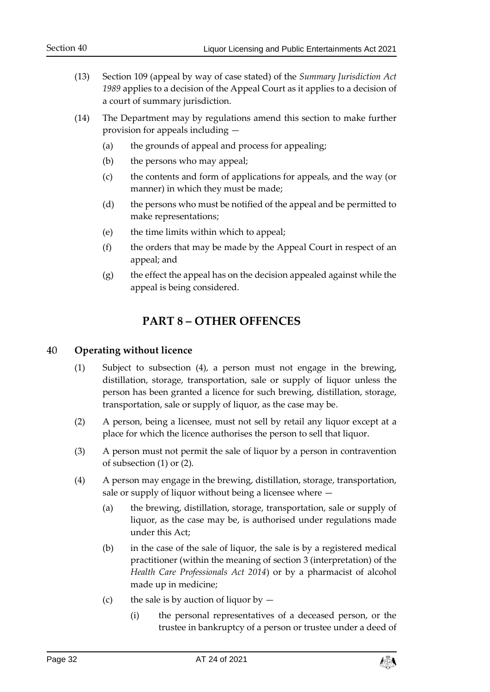- (13) Section 109 (appeal by way of case stated) of the *Summary Jurisdiction Act 1989* applies to a decision of the Appeal Court as it applies to a decision of a court of summary jurisdiction.
- (14) The Department may by regulations amend this section to make further provision for appeals including —
	- (a) the grounds of appeal and process for appealing;
	- (b) the persons who may appeal;
	- (c) the contents and form of applications for appeals, and the way (or manner) in which they must be made;
	- (d) the persons who must be notified of the appeal and be permitted to make representations;
	- (e) the time limits within which to appeal;
	- (f) the orders that may be made by the Appeal Court in respect of an appeal; and
	- (g) the effect the appeal has on the decision appealed against while the appeal is being considered.

## **PART 8 – OTHER OFFENCES**

#### <span id="page-31-1"></span><span id="page-31-0"></span>40 **Operating without licence**

- (1) Subject to subsection (4), a person must not engage in the brewing, distillation, storage, transportation, sale or supply of liquor unless the person has been granted a licence for such brewing, distillation, storage, transportation, sale or supply of liquor, as the case may be.
- (2) A person, being a licensee, must not sell by retail any liquor except at a place for which the licence authorises the person to sell that liquor.
- (3) A person must not permit the sale of liquor by a person in contravention of subsection (1) or (2).
- (4) A person may engage in the brewing, distillation, storage, transportation, sale or supply of liquor without being a licensee where —
	- (a) the brewing, distillation, storage, transportation, sale or supply of liquor, as the case may be, is authorised under regulations made under this Act;
	- (b) in the case of the sale of liquor, the sale is by a registered medical practitioner (within the meaning of section 3 (interpretation) of the *Health Care Professionals Act 2014*) or by a pharmacist of alcohol made up in medicine;
	- (c) the sale is by auction of liquor by  $-$ 
		- (i) the personal representatives of a deceased person, or the trustee in bankruptcy of a person or trustee under a deed of

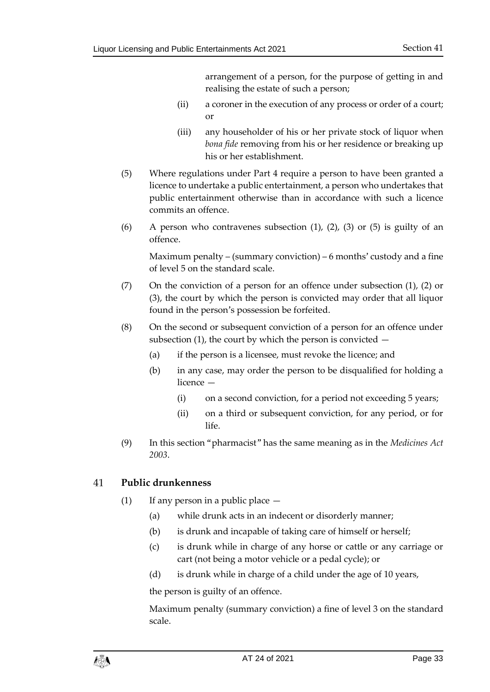arrangement of a person, for the purpose of getting in and realising the estate of such a person;

- (ii) a coroner in the execution of any process or order of a court; or
- (iii) any householder of his or her private stock of liquor when *bona fide* removing from his or her residence or breaking up his or her establishment.
- (5) Where regulations under Part 4 require a person to have been granted a licence to undertake a public entertainment, a person who undertakes that public entertainment otherwise than in accordance with such a licence commits an offence.
- (6) A person who contravenes subsection  $(1)$ ,  $(2)$ ,  $(3)$  or  $(5)$  is guilty of an offence.

Maximum penalty – (summary conviction) – 6 months' custody and a fine of level 5 on the standard scale.

- (7) On the conviction of a person for an offence under subsection (1), (2) or (3), the court by which the person is convicted may order that all liquor found in the person's possession be forfeited.
- (8) On the second or subsequent conviction of a person for an offence under subsection  $(1)$ , the court by which the person is convicted  $-$ 
	- (a) if the person is a licensee, must revoke the licence; and
	- (b) in any case, may order the person to be disqualified for holding a licence —
		- (i) on a second conviction, for a period not exceeding 5 years;
		- (ii) on a third or subsequent conviction, for any period, or for life.
- (9) In this section "pharmacist" has the same meaning as in the *Medicines Act 2003*.

#### <span id="page-32-0"></span>41 **Public drunkenness**

- (1) If any person in a public place  $-$ 
	- (a) while drunk acts in an indecent or disorderly manner;
	- (b) is drunk and incapable of taking care of himself or herself;
	- (c) is drunk while in charge of any horse or cattle or any carriage or cart (not being a motor vehicle or a pedal cycle); or
	- (d) is drunk while in charge of a child under the age of 10 years,

the person is guilty of an offence.

Maximum penalty (summary conviction) a fine of level 3 on the standard scale.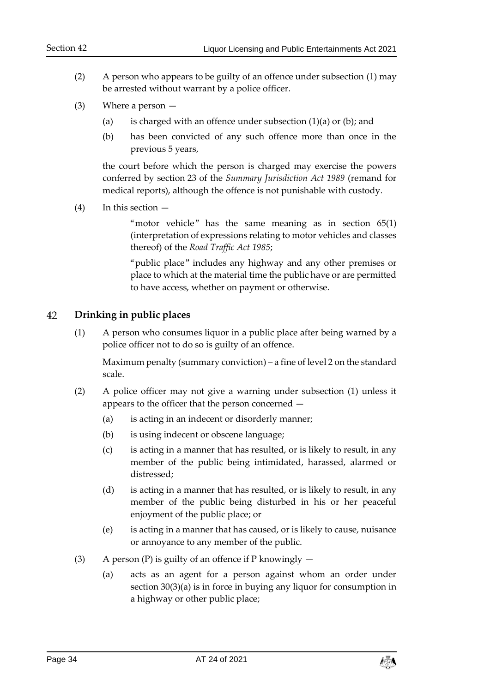- (2) A person who appears to be guilty of an offence under subsection (1) may be arrested without warrant by a police officer.
- (3) Where a person
	- (a) is charged with an offence under subsection  $(1)(a)$  or  $(b)$ ; and
	- (b) has been convicted of any such offence more than once in the previous 5 years,

the court before which the person is charged may exercise the powers conferred by section 23 of the *Summary Jurisdiction Act 1989* (remand for medical reports), although the offence is not punishable with custody.

<span id="page-33-1"></span> $(4)$  In this section  $-$ 

"motor vehicle" has the same meaning as in section 65(1) (interpretation of expressions relating to motor vehicles and classes thereof) of the *Road Traffic Act 1985*;

"public place" includes any highway and any other premises or place to which at the material time the public have or are permitted to have access, whether on payment or otherwise.

#### <span id="page-33-0"></span>42 **Drinking in public places**

(1) A person who consumes liquor in a public place after being warned by a police officer not to do so is guilty of an offence.

Maximum penalty (summary conviction) – a fine of level 2 on the standard scale.

- (2) A police officer may not give a warning under subsection (1) unless it appears to the officer that the person concerned —
	- (a) is acting in an indecent or disorderly manner;
	- (b) is using indecent or obscene language;
	- (c) is acting in a manner that has resulted, or is likely to result, in any member of the public being intimidated, harassed, alarmed or distressed;
	- (d) is acting in a manner that has resulted, or is likely to result, in any member of the public being disturbed in his or her peaceful enjoyment of the public place; or
	- (e) is acting in a manner that has caused, or is likely to cause, nuisance or annoyance to any member of the public.
- (3) A person (P) is guilty of an offence if P knowingly  $-$ 
	- (a) acts as an agent for a person against whom an order under section [30\(](#page-23-0)3)(a) is in force in buying any liquor for consumption in a highway or other public place;

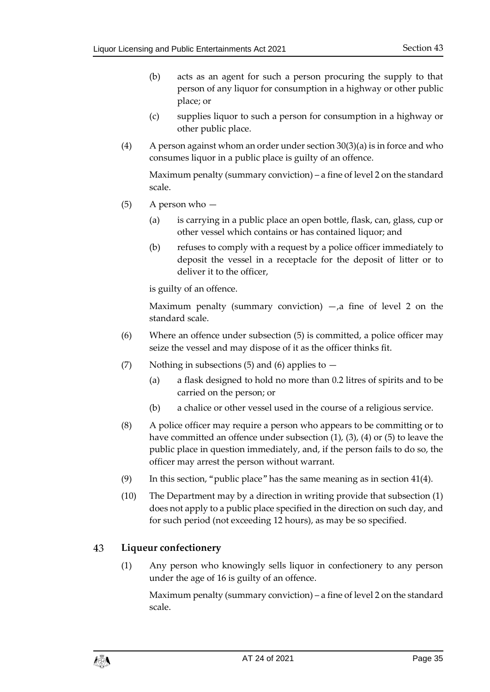- (b) acts as an agent for such a person procuring the supply to that person of any liquor for consumption in a highway or other public place; or
- (c) supplies liquor to such a person for consumption in a highway or other public place.
- (4) A person against whom an order under section  $30(3)(a)$  $30(3)(a)$  is in force and who consumes liquor in a public place is guilty of an offence.

Maximum penalty (summary conviction) – a fine of level 2 on the standard scale.

- (5) A person who
	- (a) is carrying in a public place an open bottle, flask, can, glass, cup or other vessel which contains or has contained liquor; and
	- (b) refuses to comply with a request by a police officer immediately to deposit the vessel in a receptacle for the deposit of litter or to deliver it to the officer,

is guilty of an offence.

Maximum penalty (summary conviction)  $-,a$  fine of level 2 on the standard scale.

- (6) Where an offence under subsection (5) is committed, a police officer may seize the vessel and may dispose of it as the officer thinks fit.
- (7) Nothing in subsections (5) and (6) applies to  $-$ 
	- (a) a flask designed to hold no more than 0.2 litres of spirits and to be carried on the person; or
	- (b) a chalice or other vessel used in the course of a religious service.
- (8) A police officer may require a person who appears to be committing or to have committed an offence under subsection (1), (3), (4) or (5) to leave the public place in question immediately, and, if the person fails to do so, the officer may arrest the person without warrant.
- (9) In this section, "public place" has the same meaning as in section [41\(4\).](#page-33-1)
- (10) The Department may by a direction in writing provide that subsection (1) does not apply to a public place specified in the direction on such day, and for such period (not exceeding 12 hours), as may be so specified.

#### <span id="page-34-0"></span>43 **Liqueur confectionery**

(1) Any person who knowingly sells liquor in confectionery to any person under the age of 16 is guilty of an offence.

Maximum penalty (summary conviction) – a fine of level 2 on the standard scale.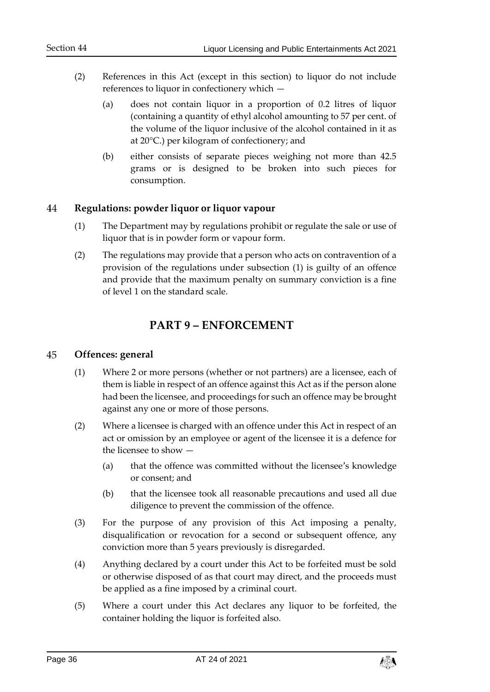- (2) References in this Act (except in this section) to liquor do not include references to liquor in confectionery which —
	- (a) does not contain liquor in a proportion of 0.2 litres of liquor (containing a quantity of ethyl alcohol amounting to 57 per cent. of the volume of the liquor inclusive of the alcohol contained in it as at 20°C.) per kilogram of confectionery; and
	- (b) either consists of separate pieces weighing not more than 42.5 grams or is designed to be broken into such pieces for consumption.

#### <span id="page-35-0"></span>44 **Regulations: powder liquor or liquor vapour**

- (1) The Department may by regulations prohibit or regulate the sale or use of liquor that is in powder form or vapour form.
- (2) The regulations may provide that a person who acts on contravention of a provision of the regulations under subsection (1) is guilty of an offence and provide that the maximum penalty on summary conviction is a fine of level 1 on the standard scale.

## **PART 9 – ENFORCEMENT**

#### <span id="page-35-2"></span><span id="page-35-1"></span>45 **Offences: general**

- (1) Where 2 or more persons (whether or not partners) are a licensee, each of them is liable in respect of an offence against this Act as if the person alone had been the licensee, and proceedings for such an offence may be brought against any one or more of those persons.
- (2) Where a licensee is charged with an offence under this Act in respect of an act or omission by an employee or agent of the licensee it is a defence for the licensee to show —
	- (a) that the offence was committed without the licensee's knowledge or consent; and
	- (b) that the licensee took all reasonable precautions and used all due diligence to prevent the commission of the offence.
- (3) For the purpose of any provision of this Act imposing a penalty, disqualification or revocation for a second or subsequent offence, any conviction more than 5 years previously is disregarded.
- (4) Anything declared by a court under this Act to be forfeited must be sold or otherwise disposed of as that court may direct, and the proceeds must be applied as a fine imposed by a criminal court.
- (5) Where a court under this Act declares any liquor to be forfeited, the container holding the liquor is forfeited also.

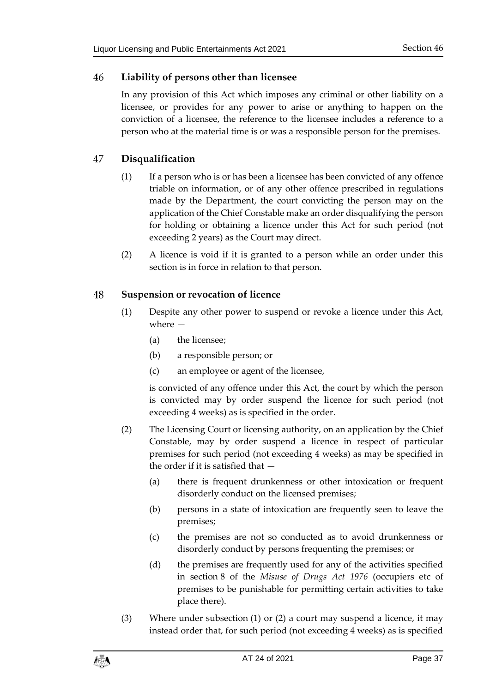#### <span id="page-36-0"></span>46 **Liability of persons other than licensee**

In any provision of this Act which imposes any criminal or other liability on a licensee, or provides for any power to arise or anything to happen on the conviction of a licensee, the reference to the licensee includes a reference to a person who at the material time is or was a responsible person for the premises.

#### <span id="page-36-1"></span>47 **Disqualification**

- (1) If a person who is or has been a licensee has been convicted of any offence triable on information, or of any other offence prescribed in regulations made by the Department, the court convicting the person may on the application of the Chief Constable make an order disqualifying the person for holding or obtaining a licence under this Act for such period (not exceeding 2 years) as the Court may direct.
- (2) A licence is void if it is granted to a person while an order under this section is in force in relation to that person.

#### <span id="page-36-2"></span>48 **Suspension or revocation of licence**

- (1) Despite any other power to suspend or revoke a licence under this Act, where —
	- (a) the licensee;
	- (b) a responsible person; or
	- (c) an employee or agent of the licensee,

is convicted of any offence under this Act, the court by which the person is convicted may by order suspend the licence for such period (not exceeding 4 weeks) as is specified in the order.

- (2) The Licensing Court or licensing authority, on an application by the Chief Constable, may by order suspend a licence in respect of particular premises for such period (not exceeding 4 weeks) as may be specified in the order if it is satisfied that —
	- (a) there is frequent drunkenness or other intoxication or frequent disorderly conduct on the licensed premises;
	- (b) persons in a state of intoxication are frequently seen to leave the premises;
	- (c) the premises are not so conducted as to avoid drunkenness or disorderly conduct by persons frequenting the premises; or
	- (d) the premises are frequently used for any of the activities specified in section 8 of the *Misuse of Drugs Act 1976* (occupiers etc of premises to be punishable for permitting certain activities to take place there).
- (3) Where under subsection (1) or (2) a court may suspend a licence, it may instead order that, for such period (not exceeding 4 weeks) as is specified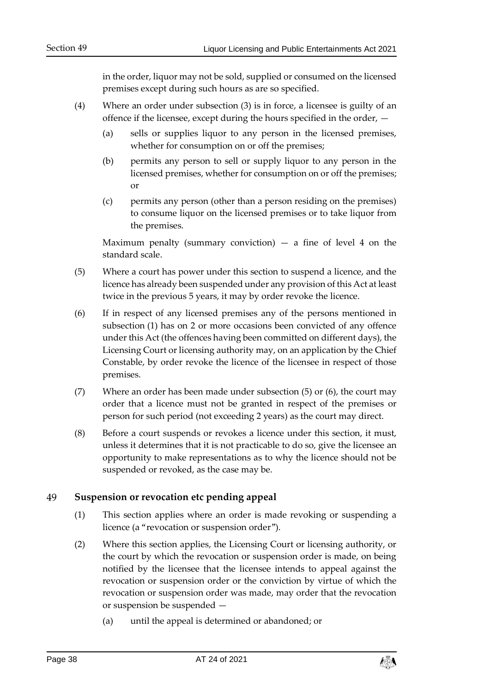in the order, liquor may not be sold, supplied or consumed on the licensed premises except during such hours as are so specified.

- (4) Where an order under subsection (3) is in force, a licensee is guilty of an offence if the licensee, except during the hours specified in the order, —
	- (a) sells or supplies liquor to any person in the licensed premises, whether for consumption on or off the premises;
	- (b) permits any person to sell or supply liquor to any person in the licensed premises, whether for consumption on or off the premises; or
	- (c) permits any person (other than a person residing on the premises) to consume liquor on the licensed premises or to take liquor from the premises.

Maximum penalty (summary conviction)  $-$  a fine of level 4 on the standard scale.

- (5) Where a court has power under this section to suspend a licence, and the licence has already been suspended under any provision of this Act at least twice in the previous 5 years, it may by order revoke the licence.
- (6) If in respect of any licensed premises any of the persons mentioned in subsection (1) has on 2 or more occasions been convicted of any offence under this Act (the offences having been committed on different days), the Licensing Court or licensing authority may, on an application by the Chief Constable, by order revoke the licence of the licensee in respect of those premises.
- (7) Where an order has been made under subsection  $(5)$  or  $(6)$ , the court may order that a licence must not be granted in respect of the premises or person for such period (not exceeding 2 years) as the court may direct.
- (8) Before a court suspends or revokes a licence under this section, it must, unless it determines that it is not practicable to do so, give the licensee an opportunity to make representations as to why the licence should not be suspended or revoked, as the case may be.

#### <span id="page-37-0"></span>49 **Suspension or revocation etc pending appeal**

- (1) This section applies where an order is made revoking or suspending a licence (a "revocation or suspension order").
- (2) Where this section applies, the Licensing Court or licensing authority, or the court by which the revocation or suspension order is made, on being notified by the licensee that the licensee intends to appeal against the revocation or suspension order or the conviction by virtue of which the revocation or suspension order was made, may order that the revocation or suspension be suspended —
	- (a) until the appeal is determined or abandoned; or

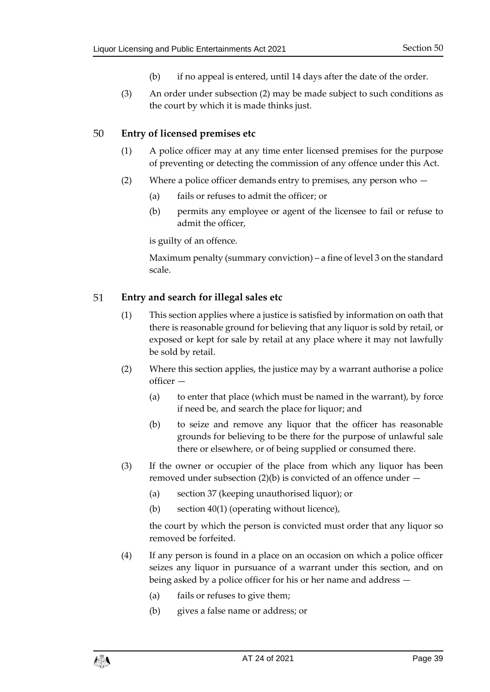- (b) if no appeal is entered, until 14 days after the date of the order.
- (3) An order under subsection (2) may be made subject to such conditions as the court by which it is made thinks just.

#### <span id="page-38-0"></span>50 **Entry of licensed premises etc**

- (1) A police officer may at any time enter licensed premises for the purpose of preventing or detecting the commission of any offence under this Act.
- (2) Where a police officer demands entry to premises, any person who
	- (a) fails or refuses to admit the officer; or
	- (b) permits any employee or agent of the licensee to fail or refuse to admit the officer,

is guilty of an offence.

Maximum penalty (summary conviction) – a fine of level 3 on the standard scale.

#### <span id="page-38-1"></span>51 **Entry and search for illegal sales etc**

- (1) This section applies where a justice is satisfied by information on oath that there is reasonable ground for believing that any liquor is sold by retail, or exposed or kept for sale by retail at any place where it may not lawfully be sold by retail.
- (2) Where this section applies, the justice may by a warrant authorise a police officer —
	- (a) to enter that place (which must be named in the warrant), by force if need be, and search the place for liquor; and
	- (b) to seize and remove any liquor that the officer has reasonable grounds for believing to be there for the purpose of unlawful sale there or elsewhere, or of being supplied or consumed there.
- (3) If the owner or occupier of the place from which any liquor has been removed under subsection  $(2)(b)$  is convicted of an offence under  $-$ 
	- (a) section [37](#page-28-0) (keeping unauthorised liquor); or
	- (b) section [40\(](#page-31-1)1) (operating without licence),

the court by which the person is convicted must order that any liquor so removed be forfeited.

- (4) If any person is found in a place on an occasion on which a police officer seizes any liquor in pursuance of a warrant under this section, and on being asked by a police officer for his or her name and address —
	- (a) fails or refuses to give them;
	- (b) gives a false name or address; or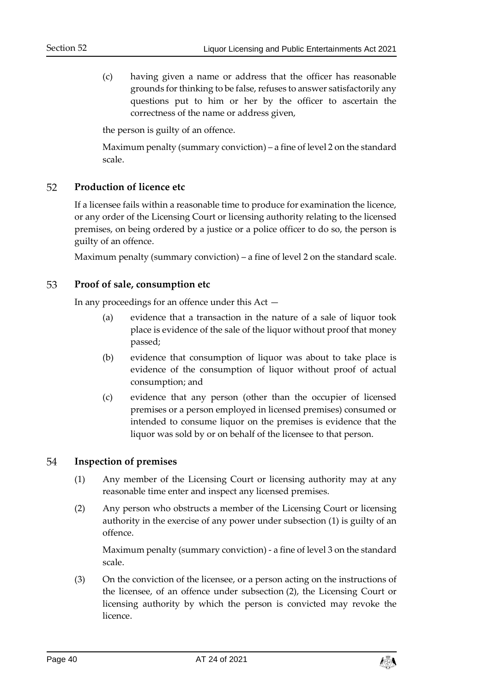(c) having given a name or address that the officer has reasonable grounds for thinking to be false, refuses to answer satisfactorily any questions put to him or her by the officer to ascertain the correctness of the name or address given,

the person is guilty of an offence.

Maximum penalty (summary conviction) – a fine of level 2 on the standard scale.

#### <span id="page-39-0"></span>**Production of licence etc** 52

If a licensee fails within a reasonable time to produce for examination the licence, or any order of the Licensing Court or licensing authority relating to the licensed premises, on being ordered by a justice or a police officer to do so, the person is guilty of an offence.

Maximum penalty (summary conviction) – a fine of level 2 on the standard scale.

#### <span id="page-39-1"></span>53 **Proof of sale, consumption etc**

In any proceedings for an offence under this Act —

- (a) evidence that a transaction in the nature of a sale of liquor took place is evidence of the sale of the liquor without proof that money passed;
- (b) evidence that consumption of liquor was about to take place is evidence of the consumption of liquor without proof of actual consumption; and
- (c) evidence that any person (other than the occupier of licensed premises or a person employed in licensed premises) consumed or intended to consume liquor on the premises is evidence that the liquor was sold by or on behalf of the licensee to that person.

#### <span id="page-39-2"></span>54 **Inspection of premises**

- (1) Any member of the Licensing Court or licensing authority may at any reasonable time enter and inspect any licensed premises.
- (2) Any person who obstructs a member of the Licensing Court or licensing authority in the exercise of any power under subsection (1) is guilty of an offence.

Maximum penalty (summary conviction) - a fine of level 3 on the standard scale.

(3) On the conviction of the licensee, or a person acting on the instructions of the licensee, of an offence under subsection (2), the Licensing Court or licensing authority by which the person is convicted may revoke the licence.

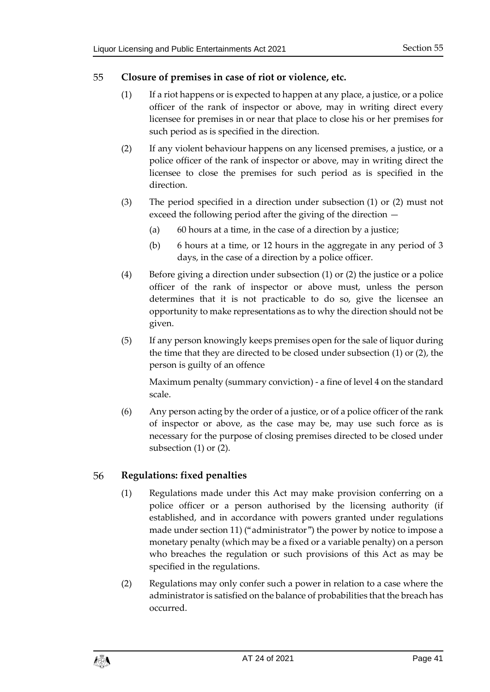#### <span id="page-40-0"></span>55 **Closure of premises in case of riot or violence, etc.**

- (1) If a riot happens or is expected to happen at any place, a justice, or a police officer of the rank of inspector or above, may in writing direct every licensee for premises in or near that place to close his or her premises for such period as is specified in the direction.
- (2) If any violent behaviour happens on any licensed premises, a justice, or a police officer of the rank of inspector or above, may in writing direct the licensee to close the premises for such period as is specified in the direction.
- (3) The period specified in a direction under subsection (1) or (2) must not exceed the following period after the giving of the direction —
	- (a)  $\qquad 60$  hours at a time, in the case of a direction by a justice;
	- (b) 6 hours at a time, or 12 hours in the aggregate in any period of 3 days, in the case of a direction by a police officer.
- (4) Before giving a direction under subsection (1) or (2) the justice or a police officer of the rank of inspector or above must, unless the person determines that it is not practicable to do so, give the licensee an opportunity to make representations as to why the direction should not be given.
- (5) If any person knowingly keeps premises open for the sale of liquor during the time that they are directed to be closed under subsection (1) or (2), the person is guilty of an offence

Maximum penalty (summary conviction) - a fine of level 4 on the standard scale.

(6) Any person acting by the order of a justice, or of a police officer of the rank of inspector or above, as the case may be, may use such force as is necessary for the purpose of closing premises directed to be closed under subsection (1) or (2).

#### <span id="page-40-1"></span>56 **Regulations: fixed penalties**

- (1) Regulations made under this Act may make provision conferring on a police officer or a person authorised by the licensing authority (if established, and in accordance with powers granted under regulations made under sectio[n 11\)](#page-11-2) ("administrator") the power by notice to impose a monetary penalty (which may be a fixed or a variable penalty) on a person who breaches the regulation or such provisions of this Act as may be specified in the regulations.
- (2) Regulations may only confer such a power in relation to a case where the administrator is satisfied on the balance of probabilities that the breach has occurred.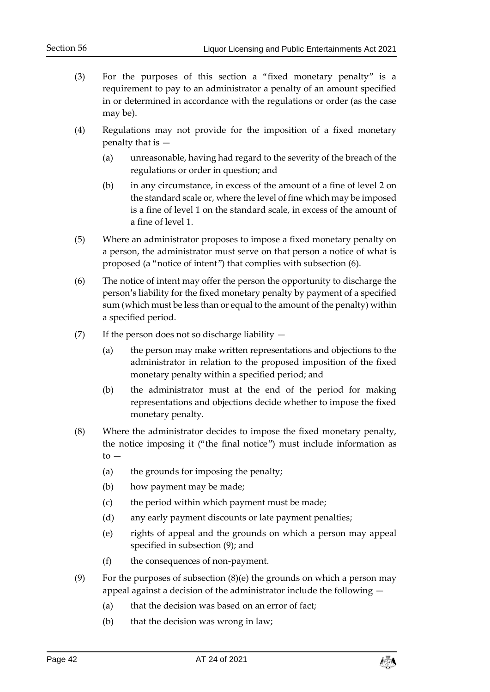- (3) For the purposes of this section a "fixed monetary penalty" is a requirement to pay to an administrator a penalty of an amount specified in or determined in accordance with the regulations or order (as the case may be).
- (4) Regulations may not provide for the imposition of a fixed monetary penalty that is —
	- (a) unreasonable, having had regard to the severity of the breach of the regulations or order in question; and
	- (b) in any circumstance, in excess of the amount of a fine of level 2 on the standard scale or, where the level of fine which may be imposed is a fine of level 1 on the standard scale, in excess of the amount of a fine of level 1.
- (5) Where an administrator proposes to impose a fixed monetary penalty on a person, the administrator must serve on that person a notice of what is proposed (a "notice of intent") that complies with subsection (6).
- (6) The notice of intent may offer the person the opportunity to discharge the person's liability for the fixed monetary penalty by payment of a specified sum (which must be less than or equal to the amount of the penalty) within a specified period.
- (7) If the person does not so discharge liability
	- (a) the person may make written representations and objections to the administrator in relation to the proposed imposition of the fixed monetary penalty within a specified period; and
	- (b) the administrator must at the end of the period for making representations and objections decide whether to impose the fixed monetary penalty.
- (8) Where the administrator decides to impose the fixed monetary penalty, the notice imposing it ("the final notice") must include information as to —
	- (a) the grounds for imposing the penalty;
	- (b) how payment may be made;
	- (c) the period within which payment must be made;
	- (d) any early payment discounts or late payment penalties;
	- (e) rights of appeal and the grounds on which a person may appeal specified in subsection (9); and
	- (f) the consequences of non-payment.
- (9) For the purposes of subsection (8)(e) the grounds on which a person may appeal against a decision of the administrator include the following —
	- (a) that the decision was based on an error of fact;
	- (b) that the decision was wrong in law;

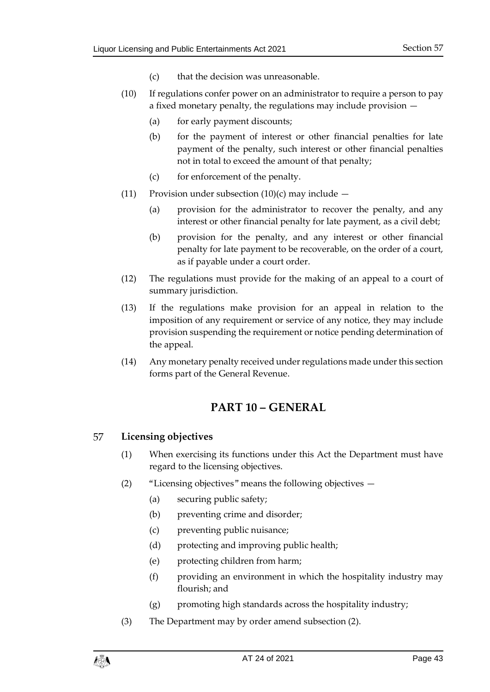- (c) that the decision was unreasonable.
- (10) If regulations confer power on an administrator to require a person to pay a fixed monetary penalty, the regulations may include provision —
	- (a) for early payment discounts;
	- (b) for the payment of interest or other financial penalties for late payment of the penalty, such interest or other financial penalties not in total to exceed the amount of that penalty;
	- (c) for enforcement of the penalty.
- (11) Provision under subsection  $(10)(c)$  may include  $-$ 
	- (a) provision for the administrator to recover the penalty, and any interest or other financial penalty for late payment, as a civil debt;
	- (b) provision for the penalty, and any interest or other financial penalty for late payment to be recoverable, on the order of a court, as if payable under a court order.
- (12) The regulations must provide for the making of an appeal to a court of summary jurisdiction.
- (13) If the regulations make provision for an appeal in relation to the imposition of any requirement or service of any notice, they may include provision suspending the requirement or notice pending determination of the appeal.
- <span id="page-42-0"></span>(14) Any monetary penalty received under regulations made under this section forms part of the General Revenue.

## **PART 10 – GENERAL**

#### <span id="page-42-1"></span>57 **Licensing objectives**

- (1) When exercising its functions under this Act the Department must have regard to the licensing objectives.
- (2) "Licensing objectives" means the following objectives
	- (a) securing public safety;
	- (b) preventing crime and disorder;
	- (c) preventing public nuisance;
	- (d) protecting and improving public health;
	- (e) protecting children from harm;
	- (f) providing an environment in which the hospitality industry may flourish; and
	- (g) promoting high standards across the hospitality industry;
- (3) The Department may by order amend subsection (2).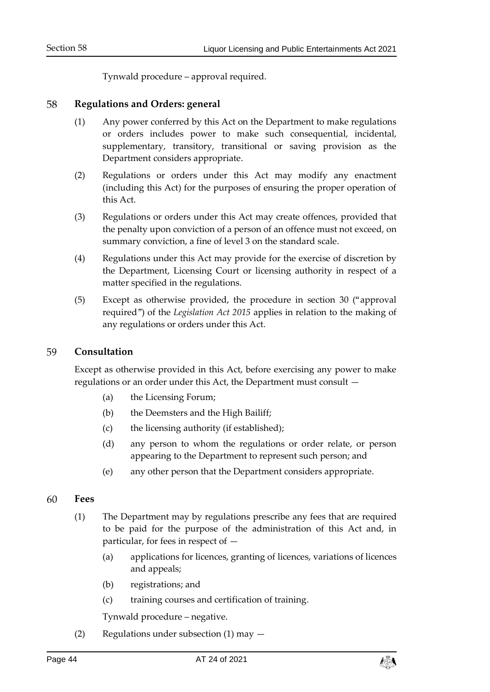Tynwald procedure – approval required.

#### <span id="page-43-0"></span>58 **Regulations and Orders: general**

- (1) Any power conferred by this Act on the Department to make regulations or orders includes power to make such consequential, incidental, supplementary, transitory, transitional or saving provision as the Department considers appropriate.
- (2) Regulations or orders under this Act may modify any enactment (including this Act) for the purposes of ensuring the proper operation of this Act.
- (3) Regulations or orders under this Act may create offences, provided that the penalty upon conviction of a person of an offence must not exceed, on summary conviction, a fine of level 3 on the standard scale.
- (4) Regulations under this Act may provide for the exercise of discretion by the Department, Licensing Court or licensing authority in respect of a matter specified in the regulations.
- (5) Except as otherwise provided, the procedure in section 30 ("approval required") of the *Legislation Act 2015* applies in relation to the making of any regulations or orders under this Act.

#### <span id="page-43-1"></span>59 **Consultation**

Except as otherwise provided in this Act, before exercising any power to make regulations or an order under this Act, the Department must consult —

- (a) the Licensing Forum;
- (b) the Deemsters and the High Bailiff;
- (c) the licensing authority (if established);
- (d) any person to whom the regulations or order relate, or person appearing to the Department to represent such person; and
- (e) any other person that the Department considers appropriate.

#### <span id="page-43-2"></span>60 **Fees**

- (1) The Department may by regulations prescribe any fees that are required to be paid for the purpose of the administration of this Act and, in particular, for fees in respect of —
	- (a) applications for licences, granting of licences, variations of licences and appeals;
	- (b) registrations; and
	- (c) training courses and certification of training.

Tynwald procedure – negative.

(2) Regulations under subsection (1) may —

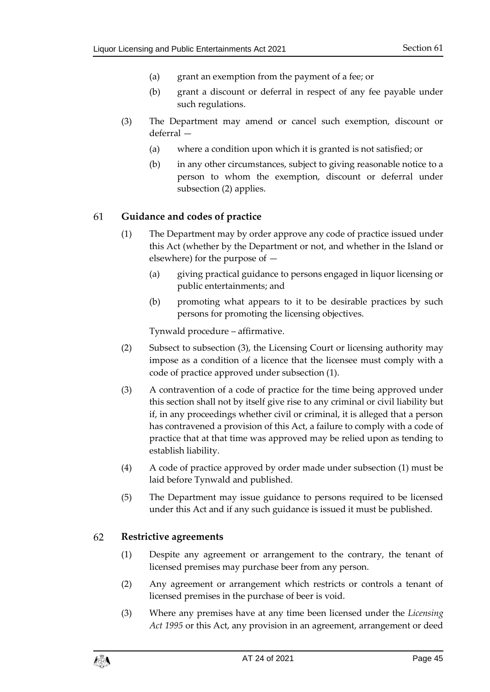- (a) grant an exemption from the payment of a fee; or
- (b) grant a discount or deferral in respect of any fee payable under such regulations.
- (3) The Department may amend or cancel such exemption, discount or deferral —
	- (a) where a condition upon which it is granted is not satisfied; or
	- (b) in any other circumstances, subject to giving reasonable notice to a person to whom the exemption, discount or deferral under subsection (2) applies.

#### <span id="page-44-0"></span>61 **Guidance and codes of practice**

- (1) The Department may by order approve any code of practice issued under this Act (whether by the Department or not, and whether in the Island or elsewhere) for the purpose of —
	- (a) giving practical guidance to persons engaged in liquor licensing or public entertainments; and
	- (b) promoting what appears to it to be desirable practices by such persons for promoting the licensing objectives.

Tynwald procedure – affirmative.

- (2) Subsect to subsection (3), the Licensing Court or licensing authority may impose as a condition of a licence that the licensee must comply with a code of practice approved under subsection (1).
- (3) A contravention of a code of practice for the time being approved under this section shall not by itself give rise to any criminal or civil liability but if, in any proceedings whether civil or criminal, it is alleged that a person has contravened a provision of this Act, a failure to comply with a code of practice that at that time was approved may be relied upon as tending to establish liability.
- (4) A code of practice approved by order made under subsection (1) must be laid before Tynwald and published.
- (5) The Department may issue guidance to persons required to be licensed under this Act and if any such guidance is issued it must be published.

#### <span id="page-44-1"></span>62 **Restrictive agreements**

- (1) Despite any agreement or arrangement to the contrary, the tenant of licensed premises may purchase beer from any person.
- (2) Any agreement or arrangement which restricts or controls a tenant of licensed premises in the purchase of beer is void.
- (3) Where any premises have at any time been licensed under the *Licensing Act 1995* or this Act, any provision in an agreement, arrangement or deed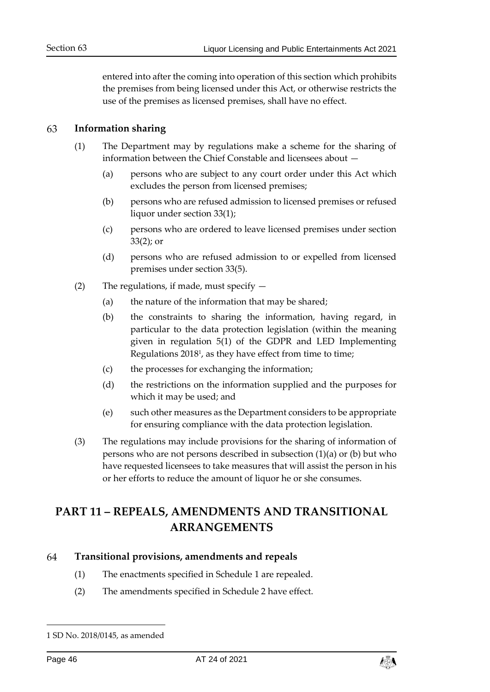entered into after the coming into operation of this section which prohibits the premises from being licensed under this Act, or otherwise restricts the use of the premises as licensed premises, shall have no effect.

#### <span id="page-45-0"></span>63 **Information sharing**

- (1) The Department may by regulations make a scheme for the sharing of information between the Chief Constable and licensees about —
	- (a) persons who are subject to any court order under this Act which excludes the person from licensed premises;
	- (b) persons who are refused admission to licensed premises or refused liquor under section [33\(1\);](#page-25-3)
	- (c) persons who are ordered to leave licensed premises under section [33\(2\);](#page-26-1) or
	- (d) persons who are refused admission to or expelled from licensed premises under section [33\(5\).](#page-26-2)
- (2) The regulations, if made, must specify  $-$ 
	- (a) the nature of the information that may be shared;
	- (b) the constraints to sharing the information, having regard, in particular to the data protection legislation (within the meaning given in regulation 5(1) of the GDPR and LED Implementing Regulations 2018<sup>1</sup> , as they have effect from time to time;
	- (c) the processes for exchanging the information;
	- (d) the restrictions on the information supplied and the purposes for which it may be used; and
	- (e) such other measures as the Department considers to be appropriate for ensuring compliance with the data protection legislation.
- (3) The regulations may include provisions for the sharing of information of persons who are not persons described in subsection (1)(a) or (b) but who have requested licensees to take measures that will assist the person in his or her efforts to reduce the amount of liquor he or she consumes.

## <span id="page-45-1"></span>**PART 11 – REPEALS, AMENDMENTS AND TRANSITIONAL ARRANGEMENTS**

#### <span id="page-45-4"></span><span id="page-45-3"></span><span id="page-45-2"></span>64 **Transitional provisions, amendments and repeals**

- (1) The enactments specified in Schedule 1 are repealed.
- (2) The amendments specified in Schedule 2 have effect.

-



<sup>1</sup> SD No. 2018/0145, as amended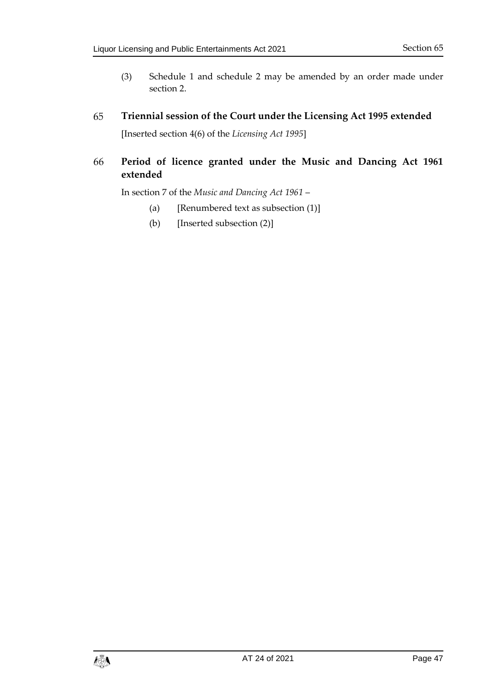- (3) Schedule 1 and schedule 2 may be amended by an order made under section [2.](#page-6-2)
- <span id="page-46-0"></span>65 **Triennial session of the Court under the Licensing Act 1995 extended** [Inserted section 4(6) of the *Licensing Act 1995*]

### <span id="page-46-1"></span>**Period of licence granted under the Music and Dancing Act 1961**  66 **extended**

In section 7 of the *Music and Dancing Act 1961* –

- (a) [Renumbered text as subsection  $(1)$ ]
- (b) [Inserted subsection (2)]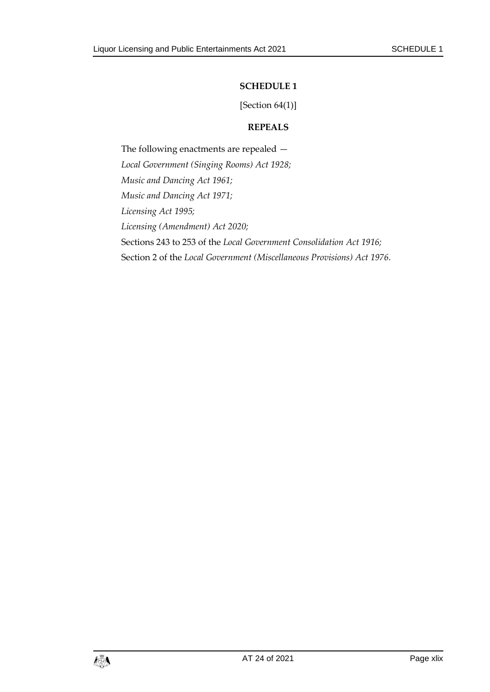### **SCHEDULE 1**

[Section  $64(1)$ ]

### **REPEALS**

<span id="page-48-1"></span><span id="page-48-0"></span>The following enactments are repealed — *Local Government (Singing Rooms) Act 1928; Music and Dancing Act 1961; Music and Dancing Act 1971; Licensing Act 1995; Licensing (Amendment) Act 2020;* Sections 243 to 253 of the *Local Government Consolidation Act 1916;* Section 2 of the *Local Government (Miscellaneous Provisions) Act 1976.*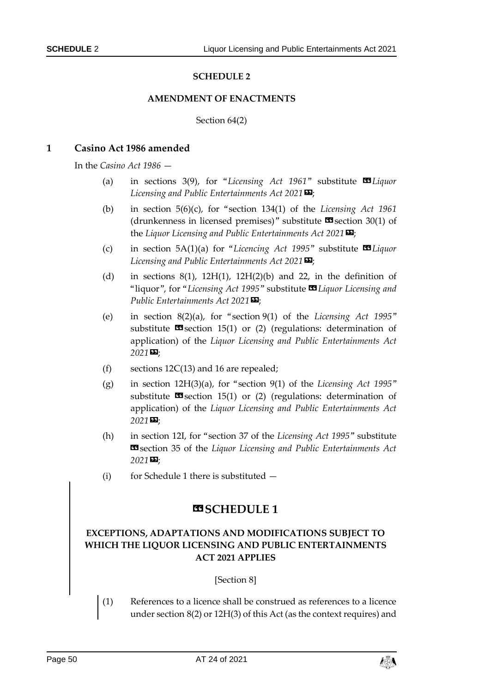### **SCHEDULE 2**

### **AMENDMENT OF ENACTMENTS**

### Section [64\(2\)](#page-45-4)

### <span id="page-49-1"></span><span id="page-49-0"></span>**1 Casino Act 1986 amended**

In the *Casino Act 1986* —

- (a) in sections 3(9), for "*Licensing Act 1961*" substitute **II** *Liquor Licensing and Public Entertainments Act 2021»*;
- (b) in section 5(6)(c), for "section 134(1) of the *Licensing Act 1961* (drunkenness in licensed premises)" substitute  $\blacksquare$  section 30(1) of the *Liquor Licensing and Public Entertainments Act 2021»*;
- (c) in section 5A(1)(a) for "*Licencing Act 1995*" substitute **II** *Liquor Licensing and Public Entertainments Act 2021»*;
- (d) in sections  $8(1)$ ,  $12H(1)$ ,  $12H(2)(b)$  and 22, in the definition of "liquor", for "Licensing Act 1995" substitute **II** Liquor Licensing and *Public Entertainments Act 2021»*;
- (e) in section 8(2)(a), for "section 9(1) of the *Licensing Act 1995*" substitute  $\mathbf{I}$  section 15(1) or (2) (regulations: determination of application) of the *Liquor Licensing and Public Entertainments Act 2021»*;
- (f) sections  $12C(13)$  and 16 are repealed;
- (g) in section 12H(3)(a), for "section 9(1) of the *Licensing Act 1995*" substitute  $\Box$  section 15(1) or (2) (regulations: determination of application) of the *Liquor Licensing and Public Entertainments Act 2021»*;
- (h) in section 12I, for "section 37 of the *Licensing Act 1995*" substitute «section 35 of the *Liquor Licensing and Public Entertainments Act 2021»*;
- (i) for Schedule 1 there is substituted  $-$

### **«SCHEDULE 1**

### **EXCEPTIONS, ADAPTATIONS AND MODIFICATIONS SUBJECT TO WHICH THE LIQUOR LICENSING AND PUBLIC ENTERTAINMENTS ACT 2021 APPLIES**

[Section 8]

(1) References to a licence shall be construed as references to a licence under section 8(2) or 12H(3) of this Act (as the context requires) and

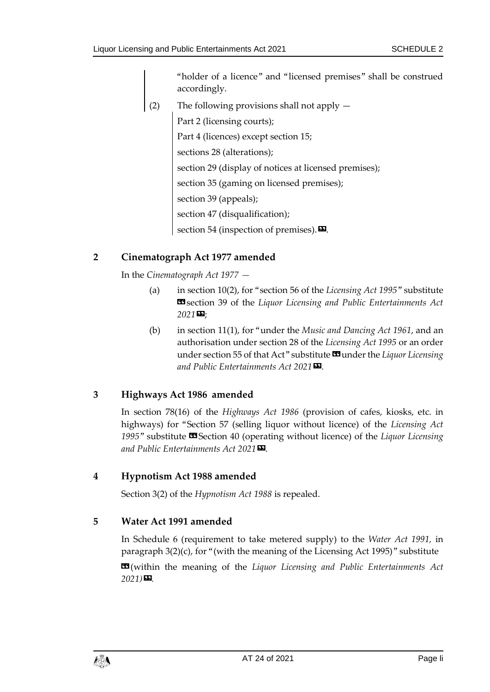"holder of a licence" and "licensed premises" shall be construed accordingly.

(2) The following provisions shall not apply — Part 2 (licensing courts); Part 4 (licences) except section 15; sections 28 (alterations); section 29 (display of notices at licensed premises); section 35 (gaming on licensed premises); section 39 (appeals); section 47 (disqualification); section 54 (inspection of premises). $\boldsymbol{\mathsf{\Xi}}$ .

## **2 Cinematograph Act 1977 amended**

In the *Cinematograph Act 1977 —*

- (a) in section 10(2), for "section 56 of the *Licensing Act 1995*" substitute «section 39 of the *Liquor Licensing and Public Entertainments Act 2021»*;
- (b) in section 11(1), for "under the *Music and Dancing Act 1961*, and an authorisation under section 28 of the *Licensing Act 1995* or an order under section 55 of that Act" substitute **II** under the *Liquor Licensing and Public Entertainments Act 2021»*.

## **3 Highways Act 1986 amended**

In section 78(16) of the *Highways Act 1986* (provision of cafes, kiosks, etc. in highways) for "Section 57 (selling liquor without licence) of the *Licensing Act 1995*" substitute «Section 40 (operating without licence) of the *Liquor Licensing and Public Entertainments Act 2021»*.

### **4 Hypnotism Act 1988 amended**

Section 3(2) of the *Hypnotism Act 1988* is repealed.

### **5 Water Act 1991 amended**

In Schedule 6 (requirement to take metered supply) to the *Water Act 1991,* in paragraph 3(2)(c), for "(with the meaning of the Licensing Act 1995)" substitute **EG**(within the meaning of the *Liquor Licensing and Public Entertainments Act 2021)».*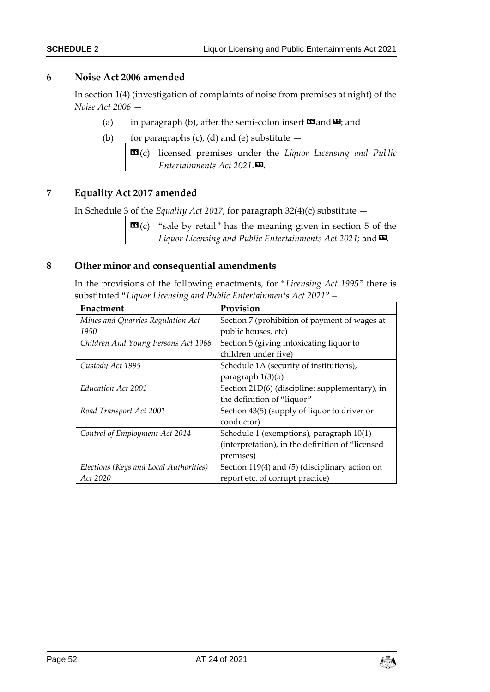### **6 Noise Act 2006 amended**

In section 1(4) (investigation of complaints of noise from premises at night) of the *Noise Act 2006* —

- (a) in paragraph (b), after the semi-colon insert  $\mathbf{\Omega}$  and  $\mathbf{\Omega}$ ; and
- (b) for paragraphs  $(c)$ ,  $(d)$  and  $(e)$  substitute  $-$ 
	- $\mathbf{G}(\mathbf{c})$  licensed premises under the *Liquor Licensing and Public Entertainments Act 2021*.».

### **7 Equality Act 2017 amended**

In Schedule 3 of the *Equality Act 2017*, for paragraph 32(4)(c) substitute —

 **"sale by retail" has the meaning given in section 5 of the** *Liquor Licensing and Public Entertainments Act 2021;* and  $\Sigma$ .

### **8 Other minor and consequential amendments**

In the provisions of the following enactments, for "*Licensing Act 1995*" there is substituted "*Liquor Licensing and Public Entertainments Act 2021" –*

| Enactment                              | Provision                                        |  |
|----------------------------------------|--------------------------------------------------|--|
| Mines and Quarries Regulation Act      | Section 7 (prohibition of payment of wages at    |  |
| 1950                                   | public houses, etc)                              |  |
| Children And Young Persons Act 1966    | Section 5 (giving intoxicating liquor to         |  |
|                                        | children under five)                             |  |
| Custody Act 1995                       | Schedule 1A (security of institutions),          |  |
|                                        | paragraph $1(3)(a)$                              |  |
| Education Act 2001                     | Section 21D(6) (discipline: supplementary), in   |  |
|                                        | the definition of "liquor"                       |  |
| Road Transport Act 2001                | Section 43(5) (supply of liquor to driver or     |  |
|                                        | conductor)                                       |  |
| Control of Employment Act 2014         | Schedule 1 (exemptions), paragraph 10(1)         |  |
|                                        | (interpretation), in the definition of "licensed |  |
|                                        | premises)                                        |  |
| Elections (Keys and Local Authorities) | Section 119(4) and (5) (disciplinary action on   |  |
| Act 2020                               | report etc. of corrupt practice)                 |  |